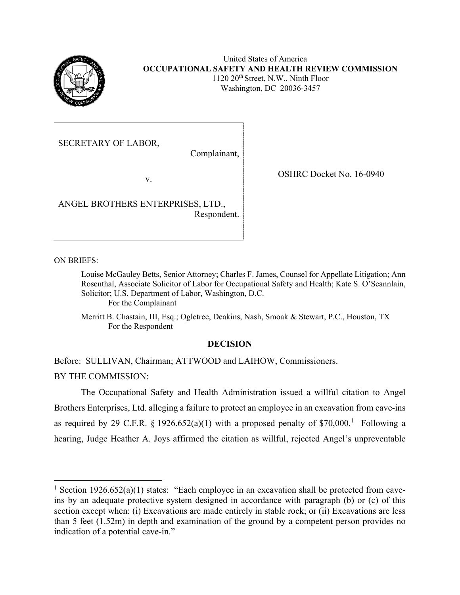

United States of America **OCCUPATIONAL SAFETY AND HEALTH REVIEW COMMISSION** 1120 20<sup>th</sup> Street, N.W., Ninth Floor Washington, DC 20036-3457

SECRETARY OF LABOR,

Complainant,

v.

ANGEL BROTHERS ENTERPRISES, LTD., Respondent. OSHRC Docket No. 16-0940

ON BRIEFS:

Louise McGauley Betts, Senior Attorney; Charles F. James, Counsel for Appellate Litigation; Ann Rosenthal, Associate Solicitor of Labor for Occupational Safety and Health; Kate S. O'Scannlain, Solicitor; U.S. Department of Labor, Washington, D.C. For the Complainant

Merritt B. Chastain, III, Esq.; Ogletree, Deakins, Nash, Smoak & Stewart, P.C., Houston, TX For the Respondent

# **DECISION**

Before: SULLIVAN, Chairman; ATTWOOD and LAIHOW, Commissioners.

BY THE COMMISSION:

The Occupational Safety and Health Administration issued a willful citation to Angel Brothers Enterprises, Ltd. alleging a failure to protect an employee in an excavation from cave-ins as required by 29 C.F.R.  $\S 1926.652(a)(1)$  $\S 1926.652(a)(1)$  $\S 1926.652(a)(1)$  with a proposed penalty of \$70,000.<sup>1</sup> Following a hearing, Judge Heather A. Joys affirmed the citation as willful, rejected Angel's unpreventable

<span id="page-0-0"></span><sup>&</sup>lt;sup>1</sup> Section 1926.652(a)(1) states: "Each employee in an excavation shall be protected from caveins by an adequate protective system designed in accordance with paragraph (b) or (c) of this section except when: (i) Excavations are made entirely in stable rock; or (ii) Excavations are less than 5 feet (1.52m) in depth and examination of the ground by a competent person provides no indication of a potential cave-in."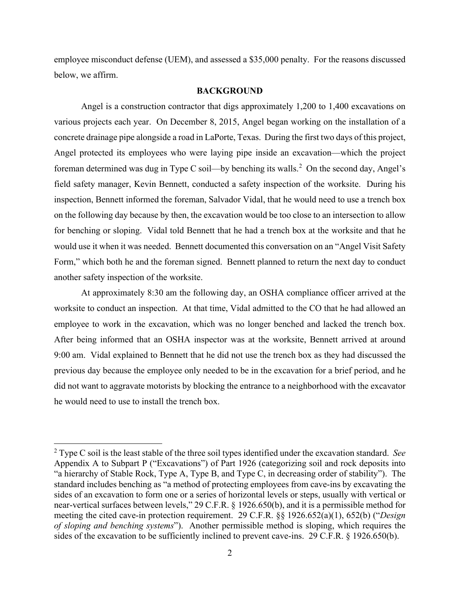employee misconduct defense (UEM), and assessed a \$35,000 penalty. For the reasons discussed below, we affirm.

### **BACKGROUND**

Angel is a construction contractor that digs approximately 1,200 to 1,400 excavations on various projects each year. On December 8, 2015, Angel began working on the installation of a concrete drainage pipe alongside a road in LaPorte, Texas. During the first two days of this project, Angel protected its employees who were laying pipe inside an excavation—which the project foreman determined was dug in Type C soil—by benching its walls.<sup>[2](#page-1-0)</sup> On the second day, Angel's field safety manager, Kevin Bennett, conducted a safety inspection of the worksite. During his inspection, Bennett informed the foreman, Salvador Vidal, that he would need to use a trench box on the following day because by then, the excavation would be too close to an intersection to allow for benching or sloping. Vidal told Bennett that he had a trench box at the worksite and that he would use it when it was needed. Bennett documented this conversation on an "Angel Visit Safety Form," which both he and the foreman signed. Bennett planned to return the next day to conduct another safety inspection of the worksite.

At approximately 8:30 am the following day, an OSHA compliance officer arrived at the worksite to conduct an inspection. At that time, Vidal admitted to the CO that he had allowed an employee to work in the excavation, which was no longer benched and lacked the trench box. After being informed that an OSHA inspector was at the worksite, Bennett arrived at around 9:00 am. Vidal explained to Bennett that he did not use the trench box as they had discussed the previous day because the employee only needed to be in the excavation for a brief period, and he did not want to aggravate motorists by blocking the entrance to a neighborhood with the excavator he would need to use to install the trench box.

<span id="page-1-0"></span><sup>2</sup> Type C soil is the least stable of the three soil types identified under the excavation standard. *See* Appendix A to Subpart P ("Excavations") of Part 1926 (categorizing soil and rock deposits into "a hierarchy of Stable Rock, Type A, Type B, and Type C, in decreasing order of stability"). The standard includes benching as "a method of protecting employees from cave-ins by excavating the sides of an excavation to form one or a series of horizontal levels or steps, usually with vertical or near-vertical surfaces between levels," 29 C.F.R. § 1926.650(b), and it is a permissible method for meeting the cited cave-in protection requirement. 29 C.F.R. §§ 1926.652(a)(1), 652(b) ("*Design of sloping and benching systems*"). Another permissible method is sloping, which requires the sides of the excavation to be sufficiently inclined to prevent cave-ins. 29 C.F.R. § 1926.650(b).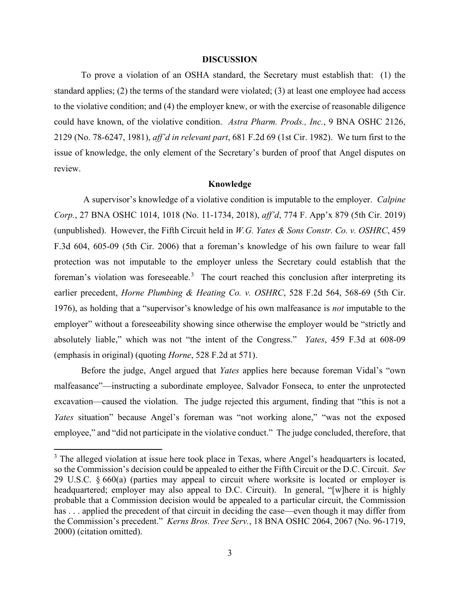### **DISCUSSION**

To prove a violation of an OSHA standard, the Secretary must establish that: (1) the standard applies; (2) the terms of the standard were violated; (3) at least one employee had access to the violative condition; and (4) the employer knew, or with the exercise of reasonable diligence could have known, of the violative condition. *Astra Pharm. Prods., Inc.*, 9 BNA OSHC 2126, 2129 (No. 78-6247, 1981), *aff'd in relevant part*, 681 F.2d 69 (1st Cir. 1982). We turn first to the issue of knowledge, the only element of the Secretary's burden of proof that Angel disputes on review.

## **Knowledge**

 A supervisor's knowledge of a violative condition is imputable to the employer. *Calpine Corp.*, 27 BNA OSHC 1014, 1018 (No. 11-1734, 2018), *aff'd*, 774 F. App'x 879 (5th Cir. 2019) (unpublished). However, the Fifth Circuit held in *W.G. Yates & Sons Constr. Co. v. OSHRC*, 459 F.3d 604, 605-09 (5th Cir. 2006) that a foreman's knowledge of his own failure to wear fall protection was not imputable to the employer unless the Secretary could establish that the foreman's violation was foreseeable.<sup>[3](#page-2-0)</sup> The court reached this conclusion after interpreting its earlier precedent, *Horne Plumbing & Heating Co. v. OSHRC*, 528 F.2d 564, 568-69 (5th Cir. 1976), as holding that a "supervisor's knowledge of his own malfeasance is *not* imputable to the employer" without a foreseeability showing since otherwise the employer would be "strictly and absolutely liable," which was not "the intent of the Congress." *Yates*, 459 F.3d at 608-09 (emphasis in original) (quoting *Horne*, 528 F.2d at 571).

Before the judge, Angel argued that *Yates* applies here because foreman Vidal's "own malfeasance"—instructing a subordinate employee, Salvador Fonseca, to enter the unprotected excavation—caused the violation. The judge rejected this argument, finding that "this is not a *Yates* situation" because Angel's foreman was "not working alone," "was not the exposed employee," and "did not participate in the violative conduct." The judge concluded, therefore, that

<span id="page-2-0"></span> $3$  The alleged violation at issue here took place in Texas, where Angel's headquarters is located, so the Commission's decision could be appealed to either the Fifth Circuit or the D.C. Circuit. *See*  29 U.S.C. § 660(a) (parties may appeal to circuit where worksite is located or employer is headquartered; employer may also appeal to D.C. Circuit). In general, "[w]here it is highly probable that a Commission decision would be appealed to a particular circuit, the Commission has ... applied the precedent of that circuit in deciding the case—even though it may differ from the Commission's precedent." *Kerns Bros. Tree Serv.*, 18 BNA OSHC 2064, 2067 (No. 96-1719, 2000) (citation omitted).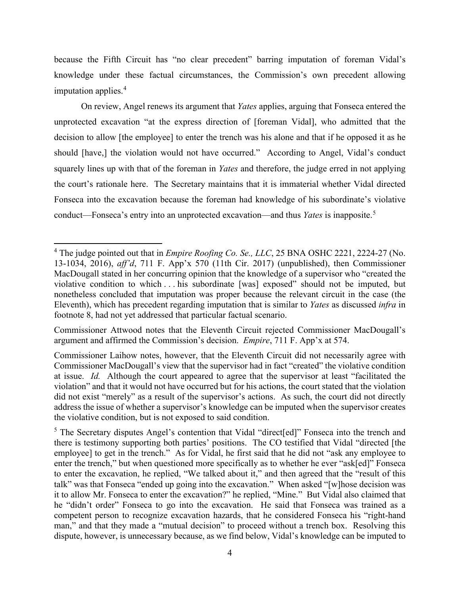because the Fifth Circuit has "no clear precedent" barring imputation of foreman Vidal's knowledge under these factual circumstances, the Commission's own precedent allowing imputation applies.<sup>[4](#page-3-0)</sup>

On review, Angel renews its argument that *Yates* applies, arguing that Fonseca entered the unprotected excavation "at the express direction of [foreman Vidal], who admitted that the decision to allow [the employee] to enter the trench was his alone and that if he opposed it as he should [have,] the violation would not have occurred." According to Angel, Vidal's conduct squarely lines up with that of the foreman in *Yates* and therefore, the judge erred in not applying the court's rationale here. The Secretary maintains that it is immaterial whether Vidal directed Fonseca into the excavation because the foreman had knowledge of his subordinate's violative conduct—Fonseca's entry into an unprotected excavation—and thus *Yates* is inapposite.[5](#page-3-1)

Commissioner Attwood notes that the Eleventh Circuit rejected Commissioner MacDougall's argument and affirmed the Commission's decision. *Empire*, 711 F. App'x at 574.

<span id="page-3-0"></span><sup>4</sup> The judge pointed out that in *Empire Roofing Co. Se., LLC*, 25 BNA OSHC 2221, 2224-27 (No. 13-1034, 2016), *aff'd*, 711 F. App'x 570 (11th Cir. 2017) (unpublished), then Commissioner MacDougall stated in her concurring opinion that the knowledge of a supervisor who "created the violative condition to which . . . his subordinate [was] exposed" should not be imputed, but nonetheless concluded that imputation was proper because the relevant circuit in the case (the Eleventh), which has precedent regarding imputation that is similar to *Yates* as discussed *infra* in footnote 8, had not yet addressed that particular factual scenario.

Commissioner Laihow notes, however, that the Eleventh Circuit did not necessarily agree with Commissioner MacDougall's view that the supervisor had in fact "created" the violative condition at issue. *Id.* Although the court appeared to agree that the supervisor at least "facilitated the violation" and that it would not have occurred but for his actions, the court stated that the violation did not exist "merely" as a result of the supervisor's actions. As such, the court did not directly address the issue of whether a supervisor's knowledge can be imputed when the supervisor creates the violative condition, but is not exposed to said condition.

<span id="page-3-1"></span><sup>&</sup>lt;sup>5</sup> The Secretary disputes Angel's contention that Vidal "direct[ed]" Fonseca into the trench and there is testimony supporting both parties' positions. The CO testified that Vidal "directed [the employee] to get in the trench." As for Vidal, he first said that he did not "ask any employee to enter the trench," but when questioned more specifically as to whether he ever "ask[ed]" Fonseca to enter the excavation, he replied, "We talked about it," and then agreed that the "result of this talk" was that Fonseca "ended up going into the excavation." When asked "[w]hose decision was it to allow Mr. Fonseca to enter the excavation?" he replied, "Mine." But Vidal also claimed that he "didn't order" Fonseca to go into the excavation. He said that Fonseca was trained as a competent person to recognize excavation hazards, that he considered Fonseca his "right-hand man," and that they made a "mutual decision" to proceed without a trench box. Resolving this dispute, however, is unnecessary because, as we find below, Vidal's knowledge can be imputed to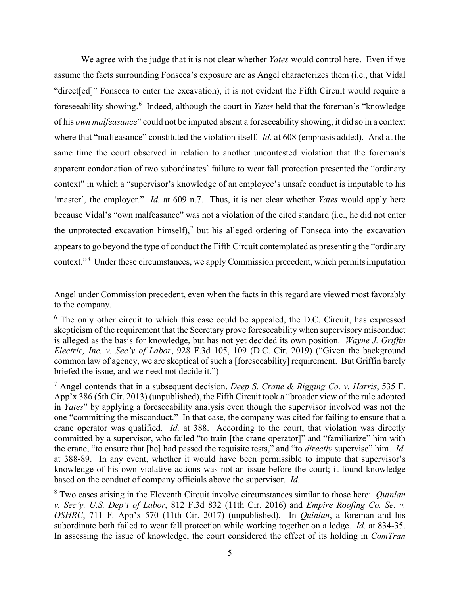We agree with the judge that it is not clear whether *Yates* would control here. Even if we assume the facts surrounding Fonseca's exposure are as Angel characterizes them (i.e., that Vidal "direct[ed]" Fonseca to enter the excavation), it is not evident the Fifth Circuit would require a foreseeability showing. [6](#page-4-0) Indeed, although the court in *Yates* held that the foreman's "knowledge of his *own malfeasance*" could not be imputed absent a foreseeability showing, it did so in a context where that "malfeasance" constituted the violation itself. *Id.* at 608 (emphasis added). And at the same time the court observed in relation to another uncontested violation that the foreman's apparent condonation of two subordinates' failure to wear fall protection presented the "ordinary context" in which a "supervisor's knowledge of an employee's unsafe conduct is imputable to his 'master', the employer." *Id.* at 609 n.7. Thus, it is not clear whether *Yates* would apply here because Vidal's "own malfeasance" was not a violation of the cited standard (i.e., he did not enter the unprotected excavation himself), $^7$  $^7$  but his alleged ordering of Fonseca into the excavation appears to go beyond the type of conduct the Fifth Circuit contemplated as presenting the "ordinary context."<sup>[8](#page-4-2)</sup> Under these circumstances, we apply Commission precedent, which permits imputation

Angel under Commission precedent, even when the facts in this regard are viewed most favorably to the company.

<span id="page-4-0"></span> $6$  The only other circuit to which this case could be appealed, the D.C. Circuit, has expressed skepticism of the requirement that the Secretary prove foreseeability when supervisory misconduct is alleged as the basis for knowledge, but has not yet decided its own position. *Wayne J. Griffin Electric, Inc. v. Sec'y of Labor*, 928 F.3d 105, 109 (D.C. Cir. 2019) ("Given the background common law of agency, we are skeptical of such a [foreseeability] requirement. But Griffin barely briefed the issue, and we need not decide it.")

<span id="page-4-1"></span><sup>7</sup> Angel contends that in a subsequent decision, *Deep S. Crane & Rigging Co. v. Harris*, 535 F. App'x 386 (5th Cir. 2013) (unpublished), the Fifth Circuit took a "broader view of the rule adopted in *Yates*" by applying a foreseeability analysis even though the supervisor involved was not the one "committing the misconduct." In that case, the company was cited for failing to ensure that a crane operator was qualified. *Id.* at 388. According to the court, that violation was directly committed by a supervisor, who failed "to train [the crane operator]" and "familiarize" him with the crane, "to ensure that [he] had passed the requisite tests," and "to *directly* supervise" him. *Id.*  at 388-89. In any event, whether it would have been permissible to impute that supervisor's knowledge of his own violative actions was not an issue before the court; it found knowledge based on the conduct of company officials above the supervisor. *Id.*

<span id="page-4-2"></span><sup>8</sup> Two cases arising in the Eleventh Circuit involve circumstances similar to those here: *Quinlan v. Sec'y, U.S. Dep't of Labor*, 812 F.3d 832 (11th Cir. 2016) and *Empire Roofing Co. Se. v. OSHRC*, 711 F. App'x 570 (11th Cir. 2017) (unpublished). In *Quinlan*, a foreman and his subordinate both failed to wear fall protection while working together on a ledge. *Id.* at 834-35. In assessing the issue of knowledge, the court considered the effect of its holding in *ComTran*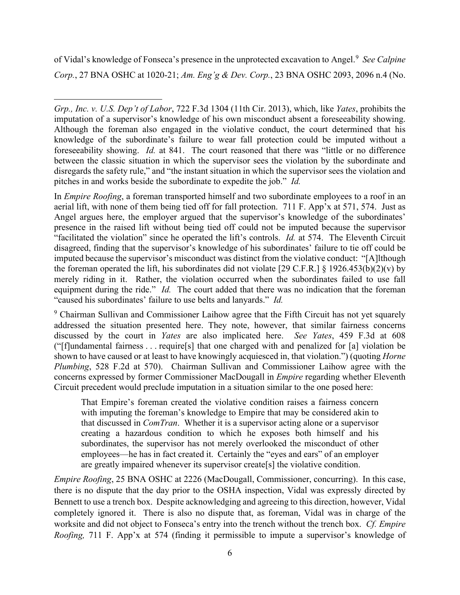of Vidal's knowledge of Fonseca's presence in the unprotected excavation to Angel.[9](#page-5-0) *See Calpine Corp.*, 27 BNA OSHC at 1020-21; *Am. Eng'g & Dev. Corp.*, 23 BNA OSHC 2093, 2096 n.4 (No.

In *Empire Roofing*, a foreman transported himself and two subordinate employees to a roof in an aerial lift, with none of them being tied off for fall protection. 711 F. App'x at 571, 574. Just as Angel argues here, the employer argued that the supervisor's knowledge of the subordinates' presence in the raised lift without being tied off could not be imputed because the supervisor "facilitated the violation" since he operated the lift's controls. *Id.* at 574. The Eleventh Circuit disagreed, finding that the supervisor's knowledge of his subordinates' failure to tie off could be imputed because the supervisor's misconduct was distinct from the violative conduct: "[A]lthough the foreman operated the lift, his subordinates did not violate [29 C.F.R.] § 1926.453(b)(2)(v) by merely riding in it. Rather, the violation occurred when the subordinates failed to use fall equipment during the ride." *Id*. The court added that there was no indication that the foreman "caused his subordinates' failure to use belts and lanyards." *Id.*

<span id="page-5-0"></span><sup>9</sup> Chairman Sullivan and Commissioner Laihow agree that the Fifth Circuit has not yet squarely addressed the situation presented here. They note, however, that similar fairness concerns discussed by the court in *Yates* are also implicated here. *See Yates*, 459 F.3d at 608 ("[f]undamental fairness . . . require[s] that one charged with and penalized for [a] violation be shown to have caused or at least to have knowingly acquiesced in, that violation.") (quoting *Horne Plumbing*, 528 F.2d at 570). Chairman Sullivan and Commissioner Laihow agree with the concerns expressed by former Commissioner MacDougall in *Empire* regarding whether Eleventh Circuit precedent would preclude imputation in a situation similar to the one posed here:

That Empire's foreman created the violative condition raises a fairness concern with imputing the foreman's knowledge to Empire that may be considered akin to that discussed in *ComTran*. Whether it is a supervisor acting alone or a supervisor creating a hazardous condition to which he exposes both himself and his subordinates, the supervisor has not merely overlooked the misconduct of other employees—he has in fact created it. Certainly the "eyes and ears" of an employer are greatly impaired whenever its supervisor create[s] the violative condition.

*Empire Roofing*, 25 BNA OSHC at 2226 (MacDougall, Commissioner, concurring). In this case, there is no dispute that the day prior to the OSHA inspection, Vidal was expressly directed by Bennett to use a trench box. Despite acknowledging and agreeing to this direction, however, Vidal completely ignored it. There is also no dispute that, as foreman, Vidal was in charge of the worksite and did not object to Fonseca's entry into the trench without the trench box. *Cf. Empire Roofing,* 711 F. App'x at 574 (finding it permissible to impute a supervisor's knowledge of

*Grp., Inc. v. U.S. Dep't of Labor*, 722 F.3d 1304 (11th Cir. 2013), which, like *Yates*, prohibits the imputation of a supervisor's knowledge of his own misconduct absent a foreseeability showing. Although the foreman also engaged in the violative conduct, the court determined that his knowledge of the subordinate's failure to wear fall protection could be imputed without a foreseeability showing. *Id.* at 841. The court reasoned that there was "little or no difference between the classic situation in which the supervisor sees the violation by the subordinate and disregards the safety rule," and "the instant situation in which the supervisor sees the violation and pitches in and works beside the subordinate to expedite the job." *Id.*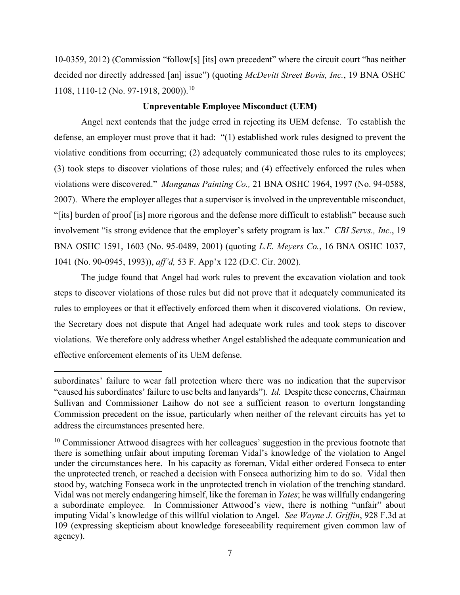10-0359, 2012) (Commission "follow[s] [its] own precedent" where the circuit court "has neither decided nor directly addressed [an] issue") (quoting *McDevitt Street Bovis, Inc.*, 19 BNA OSHC 1108, 1110-12 (No. 97-1918, 2000)).[10](#page-6-0)

### **Unpreventable Employee Misconduct (UEM)**

Angel next contends that the judge erred in rejecting its UEM defense. To establish the defense, an employer must prove that it had: "(1) established work rules designed to prevent the violative conditions from occurring; (2) adequately communicated those rules to its employees; (3) took steps to discover violations of those rules; and (4) effectively enforced the rules when violations were discovered." *Manganas Painting Co.,* 21 BNA OSHC 1964, 1997 (No. 94-0588, 2007). Where the employer alleges that a supervisor is involved in the unpreventable misconduct, "[its] burden of proof [is] more rigorous and the defense more difficult to establish" because such involvement "is strong evidence that the employer's safety program is lax." *CBI Servs., Inc.*, 19 BNA OSHC 1591, 1603 (No. 95-0489, 2001) (quoting *L.E. Meyers Co.*, 16 BNA OSHC 1037, 1041 (No. 90-0945, 1993)), *aff'd,* 53 F. App'x 122 (D.C. Cir. 2002).

The judge found that Angel had work rules to prevent the excavation violation and took steps to discover violations of those rules but did not prove that it adequately communicated its rules to employees or that it effectively enforced them when it discovered violations. On review, the Secretary does not dispute that Angel had adequate work rules and took steps to discover violations. We therefore only address whether Angel established the adequate communication and effective enforcement elements of its UEM defense.

subordinates' failure to wear fall protection where there was no indication that the supervisor "caused his subordinates' failure to use belts and lanyards"). *Id.* Despite these concerns, Chairman Sullivan and Commissioner Laihow do not see a sufficient reason to overturn longstanding Commission precedent on the issue, particularly when neither of the relevant circuits has yet to address the circumstances presented here.

<span id="page-6-0"></span> $10$  Commissioner Attwood disagrees with her colleagues' suggestion in the previous footnote that there is something unfair about imputing foreman Vidal's knowledge of the violation to Angel under the circumstances here. In his capacity as foreman, Vidal either ordered Fonseca to enter the unprotected trench, or reached a decision with Fonseca authorizing him to do so. Vidal then stood by, watching Fonseca work in the unprotected trench in violation of the trenching standard. Vidal was not merely endangering himself, like the foreman in *Yates*; he was willfully endangering a subordinate employee*.* In Commissioner Attwood's view, there is nothing "unfair" about imputing Vidal's knowledge of this willful violation to Angel. *See Wayne J. Griffin*, 928 F.3d at 109 (expressing skepticism about knowledge foreseeability requirement given common law of agency).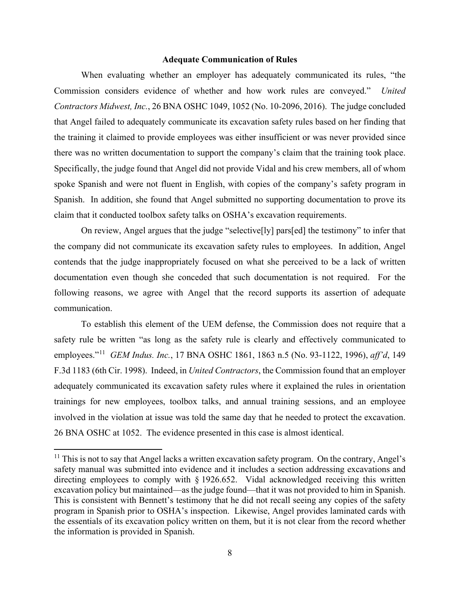### **Adequate Communication of Rules**

When evaluating whether an employer has adequately communicated its rules, "the Commission considers evidence of whether and how work rules are conveyed." *United Contractors Midwest, Inc.*, 26 BNA OSHC 1049, 1052 (No. 10-2096, 2016). The judge concluded that Angel failed to adequately communicate its excavation safety rules based on her finding that the training it claimed to provide employees was either insufficient or was never provided since there was no written documentation to support the company's claim that the training took place. Specifically, the judge found that Angel did not provide Vidal and his crew members, all of whom spoke Spanish and were not fluent in English, with copies of the company's safety program in Spanish. In addition, she found that Angel submitted no supporting documentation to prove its claim that it conducted toolbox safety talks on OSHA's excavation requirements.

On review, Angel argues that the judge "selective[ly] pars[ed] the testimony" to infer that the company did not communicate its excavation safety rules to employees. In addition, Angel contends that the judge inappropriately focused on what she perceived to be a lack of written documentation even though she conceded that such documentation is not required. For the following reasons, we agree with Angel that the record supports its assertion of adequate communication.

To establish this element of the UEM defense, the Commission does not require that a safety rule be written "as long as the safety rule is clearly and effectively communicated to employees."[11](#page-7-0) *GEM Indus. Inc.*, 17 BNA OSHC 1861, 1863 n.5 (No. 93-1122, 1996), *aff'd*, 149 F.3d 1183 (6th Cir. 1998). Indeed, in *United Contractors*, the Commission found that an employer adequately communicated its excavation safety rules where it explained the rules in orientation trainings for new employees, toolbox talks, and annual training sessions, and an employee involved in the violation at issue was told the same day that he needed to protect the excavation. 26 BNA OSHC at 1052. The evidence presented in this case is almost identical.

<span id="page-7-0"></span> $11$  This is not to say that Angel lacks a written excavation safety program. On the contrary, Angel's safety manual was submitted into evidence and it includes a section addressing excavations and directing employees to comply with § 1926.652. Vidal acknowledged receiving this written excavation policy but maintained—as the judge found—that it was not provided to him in Spanish. This is consistent with Bennett's testimony that he did not recall seeing any copies of the safety program in Spanish prior to OSHA's inspection. Likewise, Angel provides laminated cards with the essentials of its excavation policy written on them, but it is not clear from the record whether the information is provided in Spanish.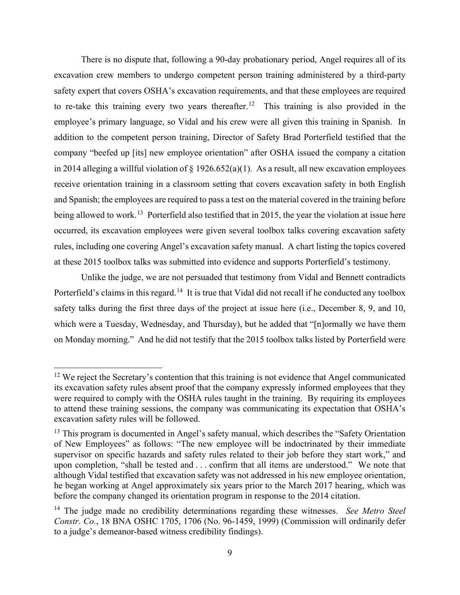There is no dispute that, following a 90-day probationary period, Angel requires all of its excavation crew members to undergo competent person training administered by a third-party safety expert that covers OSHA's excavation requirements, and that these employees are required to re-take this training every two years thereafter.<sup>[12](#page-8-0)</sup> This training is also provided in the employee's primary language, so Vidal and his crew were all given this training in Spanish. In addition to the competent person training, Director of Safety Brad Porterfield testified that the company "beefed up [its] new employee orientation" after OSHA issued the company a citation in 2014 alleging a willful violation of  $\S$  1926.652(a)(1). As a result, all new excavation employees receive orientation training in a classroom setting that covers excavation safety in both English and Spanish; the employees are required to pass a test on the material covered in the training before being allowed to work.<sup>13</sup> Porterfield also testified that in 2015, the year the violation at issue here occurred, its excavation employees were given several toolbox talks covering excavation safety rules, including one covering Angel's excavation safety manual. A chart listing the topics covered at these 2015 toolbox talks was submitted into evidence and supports Porterfield's testimony.

Unlike the judge, we are not persuaded that testimony from Vidal and Bennett contradicts Porterfield's claims in this regard.<sup>[14](#page-8-2)</sup> It is true that Vidal did not recall if he conducted any toolbox safety talks during the first three days of the project at issue here (i.e., December 8, 9, and 10, which were a Tuesday, Wednesday, and Thursday), but he added that "[n]ormally we have them on Monday morning." And he did not testify that the 2015 toolbox talks listed by Porterfield were

<span id="page-8-0"></span> $12$  We reject the Secretary's contention that this training is not evidence that Angel communicated its excavation safety rules absent proof that the company expressly informed employees that they were required to comply with the OSHA rules taught in the training. By requiring its employees to attend these training sessions, the company was communicating its expectation that OSHA's excavation safety rules will be followed.

<span id="page-8-1"></span><sup>&</sup>lt;sup>13</sup> This program is documented in Angel's safety manual, which describes the "Safety Orientation" of New Employees" as follows: "The new employee will be indoctrinated by their immediate supervisor on specific hazards and safety rules related to their job before they start work," and upon completion, "shall be tested and . . . confirm that all items are understood." We note that although Vidal testified that excavation safety was not addressed in his new employee orientation, he began working at Angel approximately six years prior to the March 2017 hearing, which was before the company changed its orientation program in response to the 2014 citation.

<span id="page-8-2"></span><sup>14</sup> The judge made no credibility determinations regarding these witnesses. *See Metro Steel Constr. Co.*, 18 BNA OSHC 1705, 1706 (No. 96-1459, 1999) (Commission will ordinarily defer to a judge's demeanor-based witness credibility findings).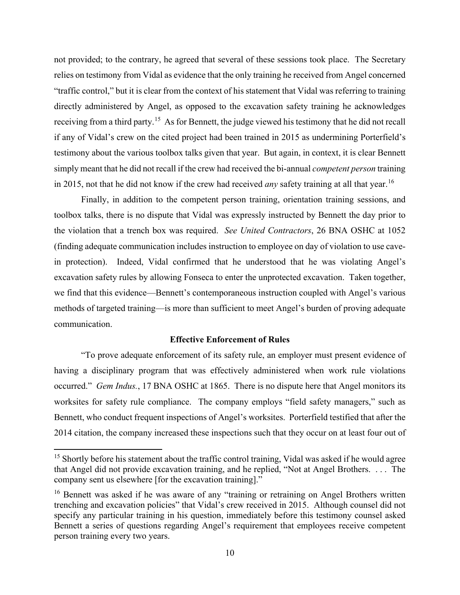not provided; to the contrary, he agreed that several of these sessions took place. The Secretary relies on testimony from Vidal as evidence that the only training he received from Angel concerned "traffic control," but it is clear from the context of his statement that Vidal was referring to training directly administered by Angel, as opposed to the excavation safety training he acknowledges receiving from a third party.[15](#page-9-0) As for Bennett, the judge viewed his testimony that he did not recall if any of Vidal's crew on the cited project had been trained in 2015 as undermining Porterfield's testimony about the various toolbox talks given that year. But again, in context, it is clear Bennett simply meant that he did not recall if the crew had received the bi-annual *competent person* training in 2015, not that he did not know if the crew had received *any* safety training at all that year.<sup>16</sup>

Finally, in addition to the competent person training, orientation training sessions, and toolbox talks, there is no dispute that Vidal was expressly instructed by Bennett the day prior to the violation that a trench box was required. *See United Contractors*, 26 BNA OSHC at 1052 (finding adequate communication includes instruction to employee on day of violation to use cavein protection). Indeed, Vidal confirmed that he understood that he was violating Angel's excavation safety rules by allowing Fonseca to enter the unprotected excavation. Taken together, we find that this evidence—Bennett's contemporaneous instruction coupled with Angel's various methods of targeted training—is more than sufficient to meet Angel's burden of proving adequate communication.

### **Effective Enforcement of Rules**

"To prove adequate enforcement of its safety rule, an employer must present evidence of having a disciplinary program that was effectively administered when work rule violations occurred." *Gem Indus.*, 17 BNA OSHC at 1865. There is no dispute here that Angel monitors its worksites for safety rule compliance. The company employs "field safety managers," such as Bennett, who conduct frequent inspections of Angel's worksites. Porterfield testified that after the 2014 citation, the company increased these inspections such that they occur on at least four out of

<span id="page-9-0"></span><sup>&</sup>lt;sup>15</sup> Shortly before his statement about the traffic control training, Vidal was asked if he would agree that Angel did not provide excavation training, and he replied, "Not at Angel Brothers. . . . The company sent us elsewhere [for the excavation training]."

<span id="page-9-1"></span><sup>&</sup>lt;sup>16</sup> Bennett was asked if he was aware of any "training or retraining on Angel Brothers written trenching and excavation policies" that Vidal's crew received in 2015. Although counsel did not specify any particular training in his question, immediately before this testimony counsel asked Bennett a series of questions regarding Angel's requirement that employees receive competent person training every two years.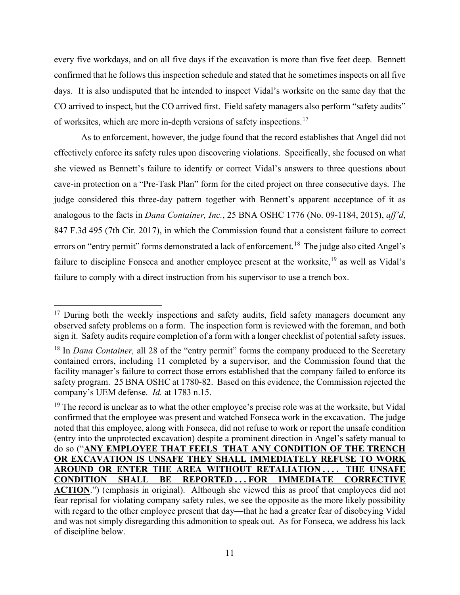every five workdays, and on all five days if the excavation is more than five feet deep. Bennett confirmed that he follows this inspection schedule and stated that he sometimes inspects on all five days. It is also undisputed that he intended to inspect Vidal's worksite on the same day that the CO arrived to inspect, but the CO arrived first. Field safety managers also perform "safety audits" of worksites, which are more in-depth versions of safety inspections.[17](#page-10-0) 

As to enforcement, however, the judge found that the record establishes that Angel did not effectively enforce its safety rules upon discovering violations. Specifically, she focused on what she viewed as Bennett's failure to identify or correct Vidal's answers to three questions about cave-in protection on a "Pre-Task Plan" form for the cited project on three consecutive days. The judge considered this three-day pattern together with Bennett's apparent acceptance of it as analogous to the facts in *Dana Container, Inc.*, 25 BNA OSHC 1776 (No. 09-1184, 2015), *aff'd*, 847 F.3d 495 (7th Cir. 2017), in which the Commission found that a consistent failure to correct errors on "entry permit" forms demonstrated a lack of enforcement.<sup>18</sup> The judge also cited Angel's failure to discipline Fonseca and another employee present at the worksite, <sup>[19](#page-10-2)</sup> as well as Vidal's failure to comply with a direct instruction from his supervisor to use a trench box.

<span id="page-10-0"></span> $17$  During both the weekly inspections and safety audits, field safety managers document any observed safety problems on a form. The inspection form is reviewed with the foreman, and both sign it. Safety audits require completion of a form with a longer checklist of potential safety issues.

<span id="page-10-1"></span><sup>&</sup>lt;sup>18</sup> In *Dana Container*, all 28 of the "entry permit" forms the company produced to the Secretary contained errors, including 11 completed by a supervisor, and the Commission found that the facility manager's failure to correct those errors established that the company failed to enforce its safety program. 25 BNA OSHC at 1780-82. Based on this evidence, the Commission rejected the company's UEM defense. *Id.* at 1783 n.15.

<span id="page-10-2"></span> $19$  The record is unclear as to what the other employee's precise role was at the worksite, but Vidal confirmed that the employee was present and watched Fonseca work in the excavation. The judge noted that this employee, along with Fonseca, did not refuse to work or report the unsafe condition (entry into the unprotected excavation) despite a prominent direction in Angel's safety manual to do so ("**ANY EMPLOYEE THAT FEELS THAT ANY CONDITION OF THE TRENCH OR EXCAVATION IS UNSAFE THEY SHALL IMMEDIATELY REFUSE TO WORK AROUND OR ENTER THE AREA WITHOUT RETALIATION . . . . THE UNSAFE CONDITION SHALL BE REPORTED . . . FOR IMMEDIATE CORRECTIVE**  ACTION.") (emphasis in original). Although she viewed this as proof that employees did not fear reprisal for violating company safety rules, we see the opposite as the more likely possibility with regard to the other employee present that day—that he had a greater fear of disobeying Vidal and was not simply disregarding this admonition to speak out. As for Fonseca, we address his lack of discipline below.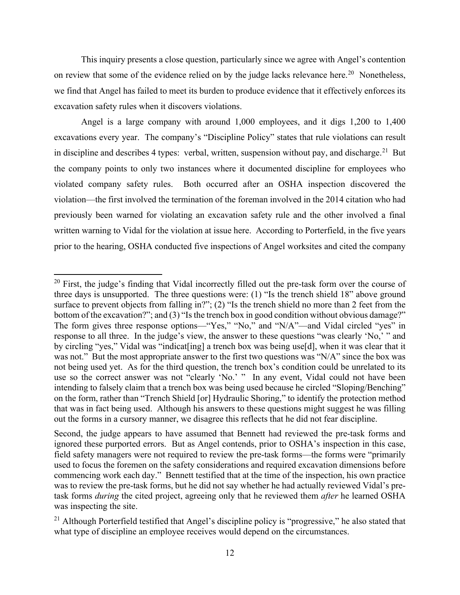This inquiry presents a close question, particularly since we agree with Angel's contention on review that some of the evidence relied on by the judge lacks relevance here.<sup>[20](#page-11-0)</sup> Nonetheless, we find that Angel has failed to meet its burden to produce evidence that it effectively enforces its excavation safety rules when it discovers violations.

Angel is a large company with around 1,000 employees, and it digs 1,200 to 1,400 excavations every year. The company's "Discipline Policy" states that rule violations can result in discipline and describes 4 types: verbal, written, suspension without pay, and discharge.<sup>21</sup> But the company points to only two instances where it documented discipline for employees who violated company safety rules. Both occurred after an OSHA inspection discovered the violation—the first involved the termination of the foreman involved in the 2014 citation who had previously been warned for violating an excavation safety rule and the other involved a final written warning to Vidal for the violation at issue here. According to Porterfield, in the five years prior to the hearing, OSHA conducted five inspections of Angel worksites and cited the company

<span id="page-11-0"></span><sup>&</sup>lt;sup>20</sup> First, the judge's finding that Vidal incorrectly filled out the pre-task form over the course of three days is unsupported. The three questions were: (1) "Is the trench shield 18" above ground surface to prevent objects from falling in?"; (2) "Is the trench shield no more than 2 feet from the bottom of the excavation?"; and (3) "Is the trench box in good condition without obvious damage?" The form gives three response options—"Yes," "No," and "N/A"—and Vidal circled "yes" in response to all three. In the judge's view, the answer to these questions "was clearly 'No,' " and by circling "yes," Vidal was "indicat[ing] a trench box was being use[d], when it was clear that it was not." But the most appropriate answer to the first two questions was "N/A" since the box was not being used yet. As for the third question, the trench box's condition could be unrelated to its use so the correct answer was not "clearly 'No.' " In any event, Vidal could not have been intending to falsely claim that a trench box was being used because he circled "Sloping/Benching" on the form, rather than "Trench Shield [or] Hydraulic Shoring," to identify the protection method that was in fact being used. Although his answers to these questions might suggest he was filling out the forms in a cursory manner, we disagree this reflects that he did not fear discipline.

Second, the judge appears to have assumed that Bennett had reviewed the pre-task forms and ignored these purported errors. But as Angel contends, prior to OSHA's inspection in this case, field safety managers were not required to review the pre-task forms—the forms were "primarily used to focus the foremen on the safety considerations and required excavation dimensions before commencing work each day." Bennett testified that at the time of the inspection, his own practice was to review the pre-task forms, but he did not say whether he had actually reviewed Vidal's pretask forms *during* the cited project, agreeing only that he reviewed them *after* he learned OSHA was inspecting the site.

<span id="page-11-1"></span><sup>&</sup>lt;sup>21</sup> Although Porterfield testified that Angel's discipline policy is "progressive," he also stated that what type of discipline an employee receives would depend on the circumstances.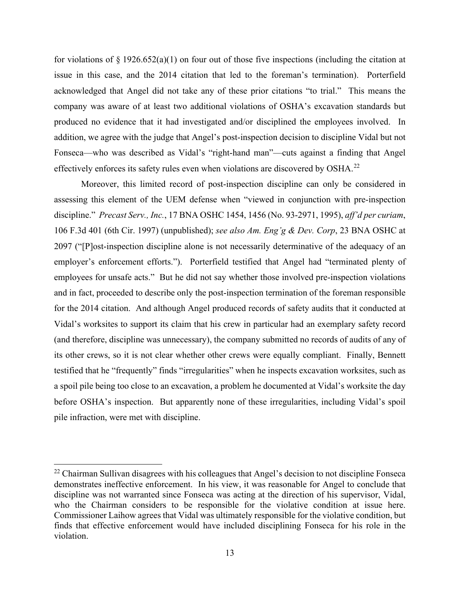for violations of  $\S 1926.652(a)(1)$  on four out of those five inspections (including the citation at issue in this case, and the 2014 citation that led to the foreman's termination). Porterfield acknowledged that Angel did not take any of these prior citations "to trial." This means the company was aware of at least two additional violations of OSHA's excavation standards but produced no evidence that it had investigated and/or disciplined the employees involved. In addition, we agree with the judge that Angel's post-inspection decision to discipline Vidal but not Fonseca—who was described as Vidal's "right-hand man"—cuts against a finding that Angel effectively enforces its safety rules even when violations are discovered by OSHA.[22](#page-12-0)

Moreover, this limited record of post-inspection discipline can only be considered in assessing this element of the UEM defense when "viewed in conjunction with pre-inspection discipline." *Precast Serv., Inc.*, 17 BNA OSHC 1454, 1456 (No. 93-2971, 1995), *aff'd per curiam*, 106 F.3d 401 (6th Cir. 1997) (unpublished); *see also Am. Eng'g & Dev. Corp*, 23 BNA OSHC at 2097 ("[P]ost-inspection discipline alone is not necessarily determinative of the adequacy of an employer's enforcement efforts."). Porterfield testified that Angel had "terminated plenty of employees for unsafe acts." But he did not say whether those involved pre-inspection violations and in fact, proceeded to describe only the post-inspection termination of the foreman responsible for the 2014 citation. And although Angel produced records of safety audits that it conducted at Vidal's worksites to support its claim that his crew in particular had an exemplary safety record (and therefore, discipline was unnecessary), the company submitted no records of audits of any of its other crews, so it is not clear whether other crews were equally compliant. Finally, Bennett testified that he "frequently" finds "irregularities" when he inspects excavation worksites, such as a spoil pile being too close to an excavation, a problem he documented at Vidal's worksite the day before OSHA's inspection. But apparently none of these irregularities, including Vidal's spoil pile infraction, were met with discipline.

<span id="page-12-0"></span><sup>&</sup>lt;sup>22</sup> Chairman Sullivan disagrees with his colleagues that Angel's decision to not discipline Fonseca demonstrates ineffective enforcement. In his view, it was reasonable for Angel to conclude that discipline was not warranted since Fonseca was acting at the direction of his supervisor, Vidal, who the Chairman considers to be responsible for the violative condition at issue here. Commissioner Laihow agrees that Vidal was ultimately responsible for the violative condition, but finds that effective enforcement would have included disciplining Fonseca for his role in the violation.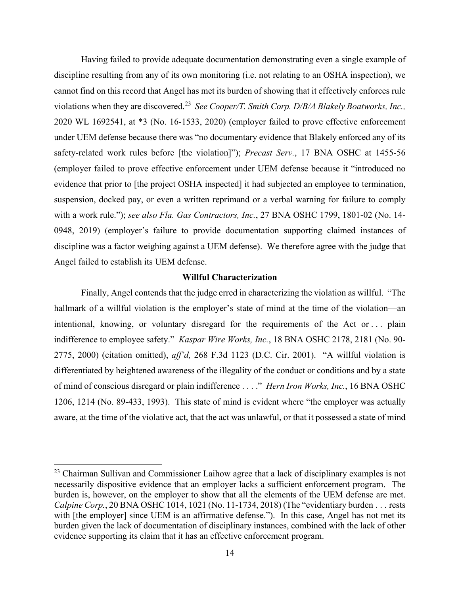Having failed to provide adequate documentation demonstrating even a single example of discipline resulting from any of its own monitoring (i.e. not relating to an OSHA inspection), we cannot find on this record that Angel has met its burden of showing that it effectively enforces rule violations when they are discovered.[23](#page-13-0) *See Cooper/T. Smith Corp. D/B/A Blakely Boatworks, Inc.,*  2020 WL 1692541, at \*3 (No. 16-1533, 2020) (employer failed to prove effective enforcement under UEM defense because there was "no documentary evidence that Blakely enforced any of its safety-related work rules before [the violation]"); *Precast Serv.*, 17 BNA OSHC at 1455-56 (employer failed to prove effective enforcement under UEM defense because it "introduced no evidence that prior to [the project OSHA inspected] it had subjected an employee to termination, suspension, docked pay, or even a written reprimand or a verbal warning for failure to comply with a work rule."); *see also Fla. Gas Contractors, Inc.*, 27 BNA OSHC 1799, 1801-02 (No. 14- 0948, 2019) (employer's failure to provide documentation supporting claimed instances of discipline was a factor weighing against a UEM defense). We therefore agree with the judge that Angel failed to establish its UEM defense.

### **Willful Characterization**

Finally, Angel contends that the judge erred in characterizing the violation as willful. "The hallmark of a willful violation is the employer's state of mind at the time of the violation—an intentional, knowing, or voluntary disregard for the requirements of the Act or . . . plain indifference to employee safety." *Kaspar Wire Works, Inc.*, 18 BNA OSHC 2178, 2181 (No. 90- 2775, 2000) (citation omitted), *aff'd,* 268 F.3d 1123 (D.C. Cir. 2001). "A willful violation is differentiated by heightened awareness of the illegality of the conduct or conditions and by a state of mind of conscious disregard or plain indifference . . . ." *Hern Iron Works, Inc.*, 16 BNA OSHC 1206, 1214 (No. 89-433, 1993). This state of mind is evident where "the employer was actually aware, at the time of the violative act, that the act was unlawful, or that it possessed a state of mind

<span id="page-13-0"></span> $23$  Chairman Sullivan and Commissioner Laihow agree that a lack of disciplinary examples is not necessarily dispositive evidence that an employer lacks a sufficient enforcement program. The burden is, however, on the employer to show that all the elements of the UEM defense are met. *Calpine Corp.*, 20 BNA OSHC 1014, 1021 (No. 11-1734, 2018) (The "evidentiary burden . . . rests with [the employer] since UEM is an affirmative defense."). In this case, Angel has not met its burden given the lack of documentation of disciplinary instances, combined with the lack of other evidence supporting its claim that it has an effective enforcement program.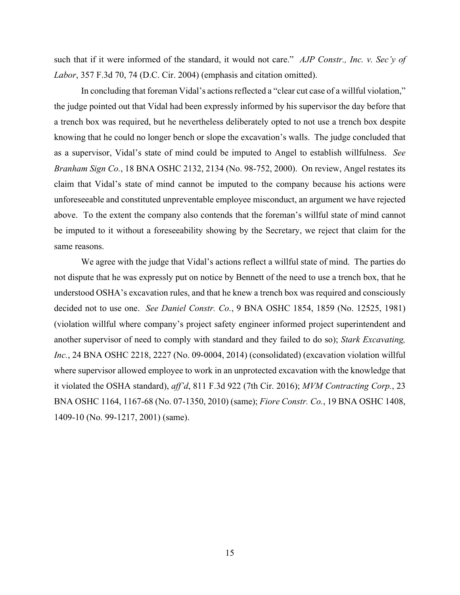such that if it were informed of the standard, it would not care." *[AJP Constr., Inc. v. Sec'y of](https://1.next.westlaw.com/Link/Document/FullText?findType=Y&serNum=2004098508&pubNum=0000506&originatingDoc=I08e6ac253d9b11e8bc5b825c4b9add2e&refType=RP&fi=co_pp_sp_506_74&originationContext=document&transitionType=DocumentItem&contextData=(sc.Search)#co_pp_sp_506_74)  Labor*[, 357 F.3d 70, 74 \(D.C. Cir. 2004\)](https://1.next.westlaw.com/Link/Document/FullText?findType=Y&serNum=2004098508&pubNum=0000506&originatingDoc=I08e6ac253d9b11e8bc5b825c4b9add2e&refType=RP&fi=co_pp_sp_506_74&originationContext=document&transitionType=DocumentItem&contextData=(sc.Search)#co_pp_sp_506_74) (emphasis and citation omitted).

In concluding that foreman Vidal's actions reflected a "clear cut case of a willful violation," the judge pointed out that Vidal had been expressly informed by his supervisor the day before that a trench box was required, but he nevertheless deliberately opted to not use a trench box despite knowing that he could no longer bench or slope the excavation's walls. The judge concluded that as a supervisor, Vidal's state of mind could be imputed to Angel to establish willfulness. *See Branham Sign Co.*, 18 BNA OSHC 2132, 2134 (No. 98-752, 2000). On review, Angel restates its claim that Vidal's state of mind cannot be imputed to the company because his actions were unforeseeable and constituted unpreventable employee misconduct, an argument we have rejected above. To the extent the company also contends that the foreman's willful state of mind cannot be imputed to it without a foreseeability showing by the Secretary, we reject that claim for the same reasons.

We agree with the judge that Vidal's actions reflect a willful state of mind. The parties do not dispute that he was expressly put on notice by Bennett of the need to use a trench box, that he understood OSHA's excavation rules, and that he knew a trench box was required and consciously decided not to use one. *See Daniel Constr. Co.*, 9 BNA OSHC 1854, 1859 (No. 12525, 1981) (violation willful where company's project safety engineer informed project superintendent and another supervisor of need to comply with standard and they failed to do so); *Stark Excavating, Inc.*, 24 BNA OSHC 2218, 2227 (No. 09-0004, 2014) (consolidated) (excavation violation willful where supervisor allowed employee to work in an unprotected excavation with the knowledge that it violated the OSHA standard), *aff'd*, 811 F.3d 922 (7th Cir. 2016); *MVM Contracting Corp.*, 23 BNA OSHC 1164, 1167-68 (No. 07-1350, 2010) (same); *Fiore Constr. Co.*, 19 BNA OSHC 1408, 1409-10 (No. 99-1217, 2001) (same).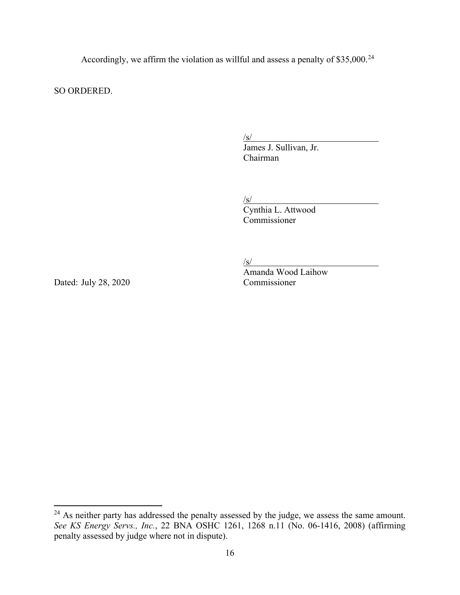Accordingly, we affirm the violation as willful and assess a penalty of \$35,000.<sup>[24](#page-15-0)</sup>

SO ORDERED.

/s/ James J. Sullivan, Jr. Chairman

/s/

Cynthia L. Attwood Commissioner

/s/

Amanda Wood Laihow

Dated: July 28, 2020 Commissioner

<span id="page-15-0"></span><sup>&</sup>lt;sup>24</sup> As neither party has addressed the penalty assessed by the judge, we assess the same amount. *See KS Energy Servs., Inc.*, 22 BNA OSHC 1261, 1268 n.11 (No. 06-1416, 2008) (affirming penalty assessed by judge where not in dispute).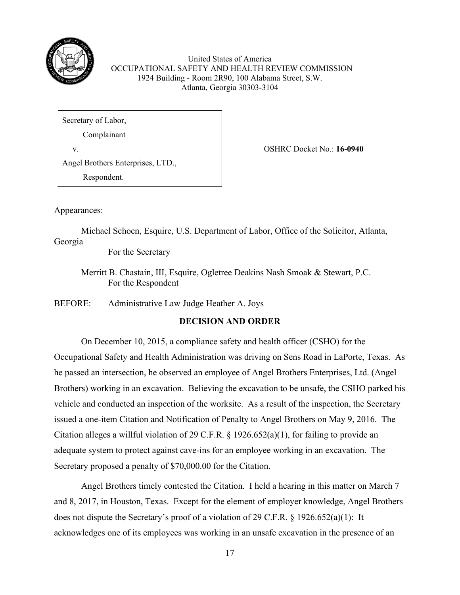

United States of America OCCUPATIONAL SAFETY AND HEALTH REVIEW COMMISSION 1924 Building - Room 2R90, 100 Alabama Street, S.W. Atlanta, Georgia 30303-3104

Secretary of Labor,

Complainant

v. OSHRC Docket No.: **16-0940**

Angel Brothers Enterprises, LTD.,

Respondent.

Appearances:

Michael Schoen, Esquire, U.S. Department of Labor, Office of the Solicitor, Atlanta, Georgia

For the Secretary

Merritt B. Chastain, III, Esquire, Ogletree Deakins Nash Smoak & Stewart, P.C. For the Respondent

BEFORE: Administrative Law Judge Heather A. Joys

# **DECISION AND ORDER**

 On December 10, 2015, a compliance safety and health officer (CSHO) for the Occupational Safety and Health Administration was driving on Sens Road in LaPorte, Texas. As he passed an intersection, he observed an employee of Angel Brothers Enterprises, Ltd. (Angel Brothers) working in an excavation. Believing the excavation to be unsafe, the CSHO parked his vehicle and conducted an inspection of the worksite. As a result of the inspection, the Secretary issued a one-item Citation and Notification of Penalty to Angel Brothers on May 9, 2016. The Citation alleges a willful violation of 29 C.F.R. § 1926.652(a)(1), for failing to provide an adequate system to protect against cave-ins for an employee working in an excavation. The Secretary proposed a penalty of \$70,000.00 for the Citation.

Angel Brothers timely contested the Citation. I held a hearing in this matter on March 7 and 8, 2017, in Houston, Texas. Except for the element of employer knowledge, Angel Brothers does not dispute the Secretary's proof of a violation of 29 C.F.R. § 1926.652(a)(1): It acknowledges one of its employees was working in an unsafe excavation in the presence of an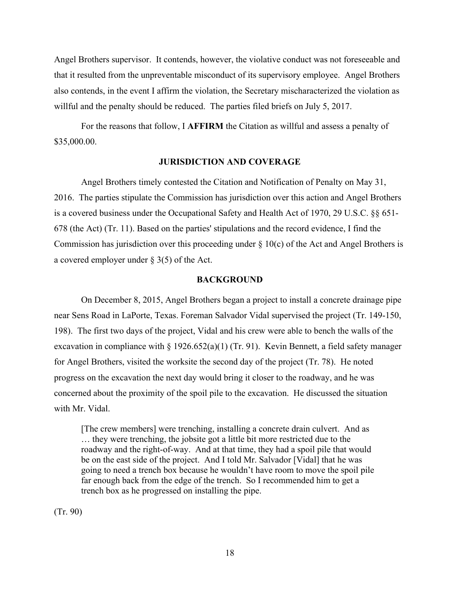Angel Brothers supervisor. It contends, however, the violative conduct was not foreseeable and that it resulted from the unpreventable misconduct of its supervisory employee. Angel Brothers also contends, in the event I affirm the violation, the Secretary mischaracterized the violation as willful and the penalty should be reduced. The parties filed briefs on July 5, 2017.

 For the reasons that follow, I **AFFIRM** the Citation as willful and assess a penalty of \$35,000.00.

## **JURISDICTION AND COVERAGE**

Angel Brothers timely contested the Citation and Notification of Penalty on May 31, 2016. The parties stipulate the Commission has jurisdiction over this action and Angel Brothers is a covered business under the Occupational Safety and Health Act of 1970, 29 U.S.C. §§ 651- 678 (the Act) (Tr. 11). Based on the parties' stipulations and the record evidence, I find the Commission has jurisdiction over this proceeding under  $\S 10(c)$  of the Act and Angel Brothers is a covered employer under § 3(5) of the Act.

#### **BACKGROUND**

 On December 8, 2015, Angel Brothers began a project to install a concrete drainage pipe near Sens Road in LaPorte, Texas. Foreman Salvador Vidal supervised the project (Tr. 149-150, 198). The first two days of the project, Vidal and his crew were able to bench the walls of the excavation in compliance with § 1926.652(a)(1) (Tr. 91). Kevin Bennett, a field safety manager for Angel Brothers, visited the worksite the second day of the project (Tr. 78). He noted progress on the excavation the next day would bring it closer to the roadway, and he was concerned about the proximity of the spoil pile to the excavation. He discussed the situation with Mr. Vidal.

[The crew members] were trenching, installing a concrete drain culvert. And as … they were trenching, the jobsite got a little bit more restricted due to the roadway and the right-of-way. And at that time, they had a spoil pile that would be on the east side of the project. And I told Mr. Salvador [Vidal] that he was going to need a trench box because he wouldn't have room to move the spoil pile far enough back from the edge of the trench. So I recommended him to get a trench box as he progressed on installing the pipe.

(Tr. 90)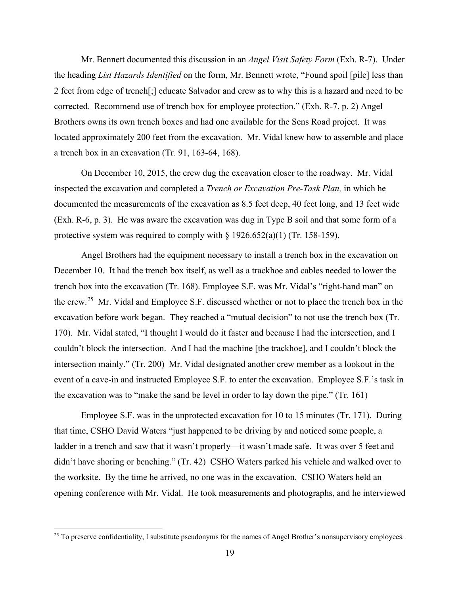Mr. Bennett documented this discussion in an *Angel Visit Safety Form* (Exh. R-7). Under the heading *List Hazards Identified* on the form, Mr. Bennett wrote, "Found spoil [pile] less than 2 feet from edge of trench[;] educate Salvador and crew as to why this is a hazard and need to be corrected. Recommend use of trench box for employee protection." (Exh. R-7, p. 2) Angel Brothers owns its own trench boxes and had one available for the Sens Road project. It was located approximately 200 feet from the excavation. Mr. Vidal knew how to assemble and place a trench box in an excavation (Tr. 91, 163-64, 168).

 On December 10, 2015, the crew dug the excavation closer to the roadway. Mr. Vidal inspected the excavation and completed a *Trench or Excavation Pre-Task Plan,* in which he documented the measurements of the excavation as 8.5 feet deep, 40 feet long, and 13 feet wide (Exh. R-6, p. 3). He was aware the excavation was dug in Type B soil and that some form of a protective system was required to comply with  $\S 1926.652(a)(1)$  (Tr. 158-159).

 Angel Brothers had the equipment necessary to install a trench box in the excavation on December 10. It had the trench box itself, as well as a trackhoe and cables needed to lower the trench box into the excavation (Tr. 168). Employee S.F. was Mr. Vidal's "right-hand man" on the crew.[25](#page-18-0) Mr. Vidal and Employee S.F. discussed whether or not to place the trench box in the excavation before work began. They reached a "mutual decision" to not use the trench box (Tr. 170). Mr. Vidal stated, "I thought I would do it faster and because I had the intersection, and I couldn't block the intersection. And I had the machine [the trackhoe], and I couldn't block the intersection mainly." (Tr. 200) Mr. Vidal designated another crew member as a lookout in the event of a cave-in and instructed Employee S.F. to enter the excavation. Employee S.F.'s task in the excavation was to "make the sand be level in order to lay down the pipe." (Tr. 161)

 Employee S.F. was in the unprotected excavation for 10 to 15 minutes (Tr. 171). During that time, CSHO David Waters "just happened to be driving by and noticed some people, a ladder in a trench and saw that it wasn't properly—it wasn't made safe. It was over 5 feet and didn't have shoring or benching." (Tr. 42) CSHO Waters parked his vehicle and walked over to the worksite. By the time he arrived, no one was in the excavation. CSHO Waters held an opening conference with Mr. Vidal. He took measurements and photographs, and he interviewed

<span id="page-18-0"></span><sup>&</sup>lt;sup>25</sup> To preserve confidentiality, I substitute pseudonyms for the names of Angel Brother's nonsupervisory employees.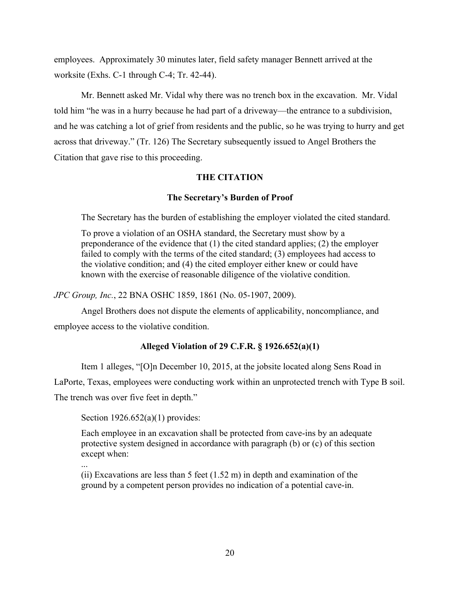employees. Approximately 30 minutes later, field safety manager Bennett arrived at the worksite (Exhs. C-1 through C-4; Tr. 42-44).

 Mr. Bennett asked Mr. Vidal why there was no trench box in the excavation. Mr. Vidal told him "he was in a hurry because he had part of a driveway—the entrance to a subdivision, and he was catching a lot of grief from residents and the public, so he was trying to hurry and get across that driveway." (Tr. 126) The Secretary subsequently issued to Angel Brothers the Citation that gave rise to this proceeding.

## **THE CITATION**

## **The Secretary's Burden of Proof**

The Secretary has the burden of establishing the employer violated the cited standard.

To prove a violation of an OSHA standard, the Secretary must show by a preponderance of the evidence that (1) the cited standard applies; (2) the employer failed to comply with the terms of the cited standard; (3) employees had access to the violative condition; and (4) the cited employer either knew or could have known with the exercise of reasonable diligence of the violative condition.

*JPC Group, Inc.*, 22 BNA OSHC 1859, 1861 (No. 05-1907, 2009).

 Angel Brothers does not dispute the elements of applicability, noncompliance, and employee access to the violative condition.

# **Alleged Violation of 29 C.F.R. § 1926.652(a)(1)**

Item 1 alleges, "[O]n December 10, 2015, at the jobsite located along Sens Road in

LaPorte, Texas, employees were conducting work within an unprotected trench with Type B soil.

The trench was over five feet in depth."

Section  $1926.652(a)(1)$  provides:

Each employee in an excavation shall be protected from cave-ins by an adequate protective system designed in accordance with paragraph (b) or (c) of this section except when:

...

(ii) Excavations are less than 5 feet  $(1.52 \text{ m})$  in depth and examination of the ground by a competent person provides no indication of a potential cave-in.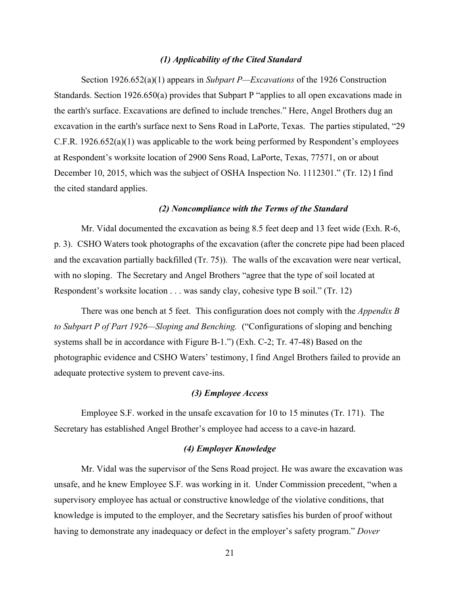### *(1) Applicability of the Cited Standard*

Section 1926.652(a)(1) appears in *Subpart P—Excavations* of the 1926 Construction Standards. Section 1926.650(a) provides that Subpart P "applies to all open excavations made in the earth's surface. Excavations are defined to include trenches." Here, Angel Brothers dug an excavation in the earth's surface next to Sens Road in LaPorte, Texas. The parties stipulated, "29 C.F.R. 1926.652(a)(1) was applicable to the work being performed by Respondent's employees at Respondent's worksite location of 2900 Sens Road, LaPorte, Texas, 77571, on or about December 10, 2015, which was the subject of OSHA Inspection No. 1112301." (Tr. 12) I find the cited standard applies.

### *(2) Noncompliance with the Terms of the Standard*

Mr. Vidal documented the excavation as being 8.5 feet deep and 13 feet wide (Exh. R-6, p. 3). CSHO Waters took photographs of the excavation (after the concrete pipe had been placed and the excavation partially backfilled (Tr. 75)). The walls of the excavation were near vertical, with no sloping. The Secretary and Angel Brothers "agree that the type of soil located at Respondent's worksite location . . . was sandy clay, cohesive type B soil." (Tr. 12)

There was one bench at 5 feet. This configuration does not comply with the *Appendix B to Subpart P of Part 1926—Sloping and Benching.* ("Configurations of sloping and benching systems shall be in accordance with Figure B-1.") (Exh. C-2; Tr. 47-48) Based on the photographic evidence and CSHO Waters' testimony, I find Angel Brothers failed to provide an adequate protective system to prevent cave-ins.

### *(3) Employee Access*

Employee S.F. worked in the unsafe excavation for 10 to 15 minutes (Tr. 171). The Secretary has established Angel Brother's employee had access to a cave-in hazard.

## *(4) Employer Knowledge*

 Mr. Vidal was the supervisor of the Sens Road project. He was aware the excavation was unsafe, and he knew Employee S.F. was working in it. Under Commission precedent, "when a supervisory employee has actual or constructive knowledge of the violative conditions, that knowledge is imputed to the employer, and the Secretary satisfies his burden of proof without having to demonstrate any inadequacy or defect in the employer's safety program." *Dover*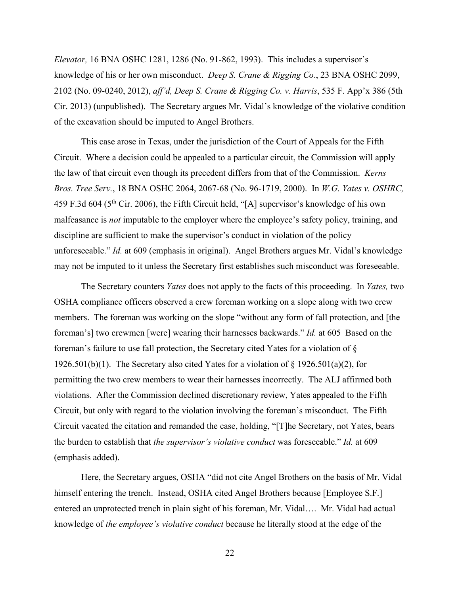*Elevator,* 16 BNA OSHC 1281, 1286 (No. 91-862, 1993). This includes a supervisor's knowledge of his or her own misconduct. *Deep S. Crane & Rigging Co*., 23 BNA OSHC 2099, 2102 (No. 09-0240, 2012), *aff'd, Deep S. Crane & Rigging Co. v. Harris*, 535 F. App'x 386 (5th Cir. 2013) (unpublished). The Secretary argues Mr. Vidal's knowledge of the violative condition of the excavation should be imputed to Angel Brothers.

 This case arose in Texas, under the jurisdiction of the Court of Appeals for the Fifth Circuit. Where a decision could be appealed to a particular circuit, the Commission will apply the law of that circuit even though its precedent differs from that of the Commission. *Kerns Bros. Tree Serv.*, 18 BNA OSHC 2064, 2067-68 (No. 96-1719, 2000). In *W.G. Yates v. OSHRC,*  459 F.3d 604 (5th Cir. 2006), the Fifth Circuit held, "[A] supervisor's knowledge of his own malfeasance is *not* imputable to the employer where the employee's safety policy, training, and discipline are sufficient to make the supervisor's conduct in violation of the policy unforeseeable." *Id.* at 609 (emphasis in original). Angel Brothers argues Mr. Vidal's knowledge may not be imputed to it unless the Secretary first establishes such misconduct was foreseeable.

The Secretary counters *Yates* does not apply to the facts of this proceeding. In *Yates,* two OSHA compliance officers observed a crew foreman working on a slope along with two crew members. The foreman was working on the slope "without any form of fall protection, and [the foreman's] two crewmen [were] wearing their harnesses backwards." *Id.* at 605 Based on the foreman's failure to use fall protection, the Secretary cited Yates for a violation of § 1926.501(b)(1). The Secretary also cited Yates for a violation of § 1926.501(a)(2), for permitting the two crew members to wear their harnesses incorrectly. The ALJ affirmed both violations. After the Commission declined discretionary review, Yates appealed to the Fifth Circuit, but only with regard to the violation involving the foreman's misconduct. The Fifth Circuit vacated the citation and remanded the case, holding, "[T]he Secretary, not Yates, bears the burden to establish that *the supervisor's violative conduct* was foreseeable." *Id.* at 609 (emphasis added).

Here, the Secretary argues, OSHA "did not cite Angel Brothers on the basis of Mr. Vidal himself entering the trench. Instead, OSHA cited Angel Brothers because [Employee S.F.] entered an unprotected trench in plain sight of his foreman, Mr. Vidal…. Mr. Vidal had actual knowledge of *the employee's violative conduct* because he literally stood at the edge of the

22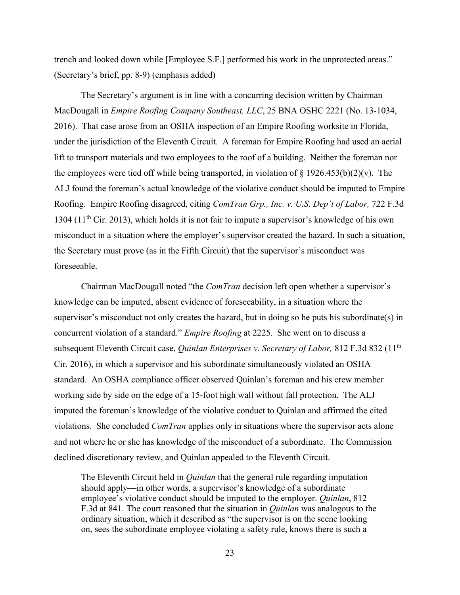trench and looked down while [Employee S.F.] performed his work in the unprotected areas." (Secretary's brief, pp. 8-9) (emphasis added)

The Secretary's argument is in line with a concurring decision written by Chairman MacDougall in *Empire Roofing Company Southeast, LLC*, 25 BNA OSHC 2221 (No. 13-1034, 2016). That case arose from an OSHA inspection of an Empire Roofing worksite in Florida, under the jurisdiction of the Eleventh Circuit. A foreman for Empire Roofing had used an aerial lift to transport materials and two employees to the roof of a building. Neither the foreman nor the employees were tied off while being transported, in violation of  $\S 1926.453(b)(2)(v)$ . The ALJ found the foreman's actual knowledge of the violative conduct should be imputed to Empire Roofing. Empire Roofing disagreed, citing *ComTran Grp., Inc. v. U.S. Dep't of Labor,* 722 F.3d 1304 ( $11<sup>th</sup>$  Cir. 2013), which holds it is not fair to impute a supervisor's knowledge of his own misconduct in a situation where the employer's supervisor created the hazard. In such a situation, the Secretary must prove (as in the Fifth Circuit) that the supervisor's misconduct was foreseeable.

Chairman MacDougall noted "the *ComTran* decision left open whether a supervisor's knowledge can be imputed, absent evidence of foreseeability, in a situation where the supervisor's misconduct not only creates the hazard, but in doing so he puts his subordinate(s) in concurrent violation of a standard." *Empire Roofing* at 2225. She went on to discuss a subsequent Eleventh Circuit case, *Quinlan Enterprises v. Secretary of Labor,* 812 F.3d 832 (11th Cir. 2016), in which a supervisor and his subordinate simultaneously violated an OSHA standard. An OSHA compliance officer observed Quinlan's foreman and his crew member working side by side on the edge of a 15-foot high wall without fall protection. The ALJ imputed the foreman's knowledge of the violative conduct to Quinlan and affirmed the cited violations. She concluded *ComTran* applies only in situations where the supervisor acts alone and not where he or she has knowledge of the misconduct of a subordinate. The Commission declined discretionary review, and Quinlan appealed to the Eleventh Circuit.

The Eleventh Circuit held in *Quinlan* that the general rule regarding imputation should apply—in other words, a supervisor's knowledge of a subordinate employee's violative conduct should be imputed to the employer. *Quinlan*, 812 F.3d at 841. The court reasoned that the situation in *Quinlan* was analogous to the ordinary situation, which it described as "the supervisor is on the scene looking on, sees the subordinate employee violating a safety rule, knows there is such a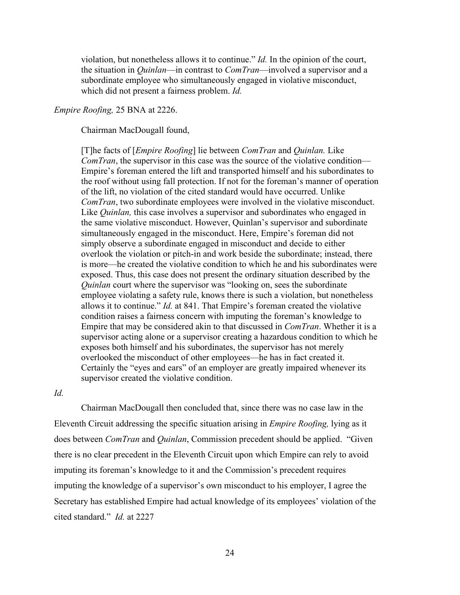violation, but nonetheless allows it to continue." *Id.* In the opinion of the court, the situation in *Quinlan*—in contrast to *ComTran*—involved a supervisor and a subordinate employee who simultaneously engaged in violative misconduct, which did not present a fairness problem. *Id.* 

### *Empire Roofing,* 25 BNA at 2226.

Chairman MacDougall found,

[T]he facts of [*Empire Roofing*] lie between *ComTran* and *Quinlan.* Like *ComTran*, the supervisor in this case was the source of the violative condition— Empire's foreman entered the lift and transported himself and his subordinates to the roof without using fall protection. If not for the foreman's manner of operation of the lift, no violation of the cited standard would have occurred. Unlike *ComTran*, two subordinate employees were involved in the violative misconduct. Like *Quinlan,* this case involves a supervisor and subordinates who engaged in the same violative misconduct. However, Quinlan's supervisor and subordinate simultaneously engaged in the misconduct. Here, Empire's foreman did not simply observe a subordinate engaged in misconduct and decide to either overlook the violation or pitch-in and work beside the subordinate; instead, there is more—he created the violative condition to which he and his subordinates were exposed. Thus, this case does not present the ordinary situation described by the *Quinlan* court where the supervisor was "looking on, sees the subordinate employee violating a safety rule, knows there is such a violation, but nonetheless allows it to continue." *Id.* at 841. That Empire's foreman created the violative condition raises a fairness concern with imputing the foreman's knowledge to Empire that may be considered akin to that discussed in *ComTran*. Whether it is a supervisor acting alone or a supervisor creating a hazardous condition to which he exposes both himself and his subordinates, the supervisor has not merely overlooked the misconduct of other employees—he has in fact created it. Certainly the "eyes and ears" of an employer are greatly impaired whenever its supervisor created the violative condition.

*Id.*

Chairman MacDougall then concluded that, since there was no case law in the Eleventh Circuit addressing the specific situation arising in *Empire Roofing,* lying as it does between *ComTran* and *Quinlan*, Commission precedent should be applied. "Given there is no clear precedent in the Eleventh Circuit upon which Empire can rely to avoid imputing its foreman's knowledge to it and the Commission's precedent requires imputing the knowledge of a supervisor's own misconduct to his employer, I agree the Secretary has established Empire had actual knowledge of its employees' violation of the cited standard." *Id.* at 2227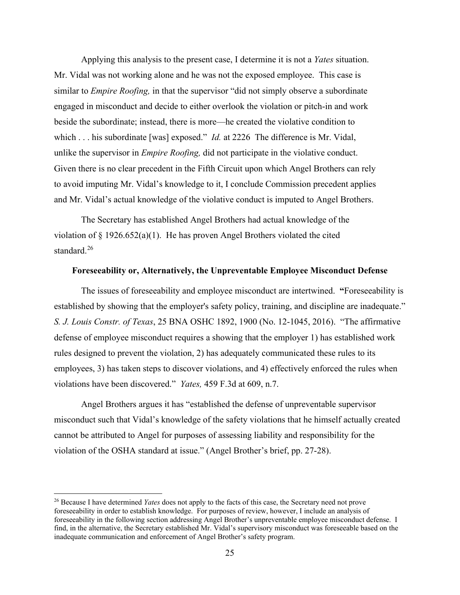Applying this analysis to the present case, I determine it is not a *Yates* situation. Mr. Vidal was not working alone and he was not the exposed employee. This case is similar to *Empire Roofing,* in that the supervisor "did not simply observe a subordinate engaged in misconduct and decide to either overlook the violation or pitch-in and work beside the subordinate; instead, there is more—he created the violative condition to which . . . his subordinate [was] exposed." *Id.* at 2226 The difference is Mr. Vidal, unlike the supervisor in *Empire Roofing,* did not participate in the violative conduct. Given there is no clear precedent in the Fifth Circuit upon which Angel Brothers can rely to avoid imputing Mr. Vidal's knowledge to it, I conclude Commission precedent applies and Mr. Vidal's actual knowledge of the violative conduct is imputed to Angel Brothers.

The Secretary has established Angel Brothers had actual knowledge of the violation of  $\S 1926.652(a)(1)$ . He has proven Angel Brothers violated the cited standard.<sup>[26](#page-24-0)</sup>

### **Foreseeability or, Alternatively, the Unpreventable Employee Misconduct Defense**

The issues of foreseeability and employee misconduct are intertwined. **"**Foreseeability is established by showing that the employer's safety policy, training, and discipline are inadequate." *S. J. Louis Constr. of Texas*, 25 BNA OSHC 1892, 1900 (No. 12-1045, 2016). "The affirmative defense of employee misconduct requires a showing that the employer 1) has established work rules designed to prevent the violation, 2) has adequately communicated these rules to its employees, 3) has taken steps to discover violations, and 4) effectively enforced the rules when violations have been discovered." *Yates,* 459 F.3d at 609, n.7.

Angel Brothers argues it has "established the defense of unpreventable supervisor misconduct such that Vidal's knowledge of the safety violations that he himself actually created cannot be attributed to Angel for purposes of assessing liability and responsibility for the violation of the OSHA standard at issue." (Angel Brother's brief, pp. 27-28).

<span id="page-24-0"></span><sup>26</sup> Because I have determined *Yates* does not apply to the facts of this case, the Secretary need not prove foreseeability in order to establish knowledge. For purposes of review, however, I include an analysis of foreseeability in the following section addressing Angel Brother's unpreventable employee misconduct defense. I find, in the alternative, the Secretary established Mr. Vidal's supervisory misconduct was foreseeable based on the inadequate communication and enforcement of Angel Brother's safety program.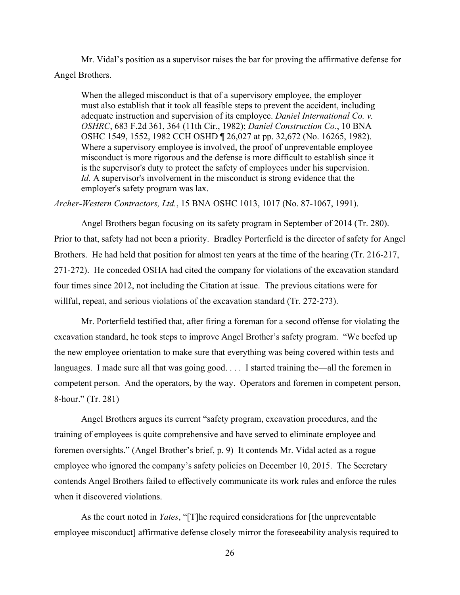Mr. Vidal's position as a supervisor raises the bar for proving the affirmative defense for Angel Brothers.

When the alleged misconduct is that of a supervisory employee, the employer must also establish that it took all feasible steps to prevent the accident, including adequate instruction and supervision of its employee. *Daniel International Co. v. OSHRC*, 683 F.2d 361, 364 (11th Cir., 1982); *Daniel Construction Co*., 10 BNA OSHC 1549, 1552, 1982 CCH OSHD ¶ 26,027 at pp. 32,672 (No. 16265, 1982). Where a supervisory employee is involved, the proof of unpreventable employee misconduct is more rigorous and the defense is more difficult to establish since it is the supervisor's duty to protect the safety of employees under his supervision. *Id.* A supervisor's involvement in the misconduct is strong evidence that the employer's safety program was lax.

*Archer-Western Contractors, Ltd.*, 15 BNA OSHC 1013, 1017 (No. 87-1067, 1991).

 Angel Brothers began focusing on its safety program in September of 2014 (Tr. 280). Prior to that, safety had not been a priority. Bradley Porterfield is the director of safety for Angel Brothers. He had held that position for almost ten years at the time of the hearing (Tr. 216-217, 271-272). He conceded OSHA had cited the company for violations of the excavation standard four times since 2012, not including the Citation at issue. The previous citations were for willful, repeat, and serious violations of the excavation standard (Tr. 272-273).

Mr. Porterfield testified that, after firing a foreman for a second offense for violating the excavation standard, he took steps to improve Angel Brother's safety program. "We beefed up the new employee orientation to make sure that everything was being covered within tests and languages. I made sure all that was going good. . . . I started training the—all the foremen in competent person. And the operators, by the way. Operators and foremen in competent person, 8-hour." (Tr. 281)

 Angel Brothers argues its current "safety program, excavation procedures, and the training of employees is quite comprehensive and have served to eliminate employee and foremen oversights." (Angel Brother's brief, p. 9) It contends Mr. Vidal acted as a rogue employee who ignored the company's safety policies on December 10, 2015. The Secretary contends Angel Brothers failed to effectively communicate its work rules and enforce the rules when it discovered violations.

As the court noted in *Yates*, "[T]he required considerations for [the unpreventable employee misconduct] affirmative defense closely mirror the foreseeability analysis required to

26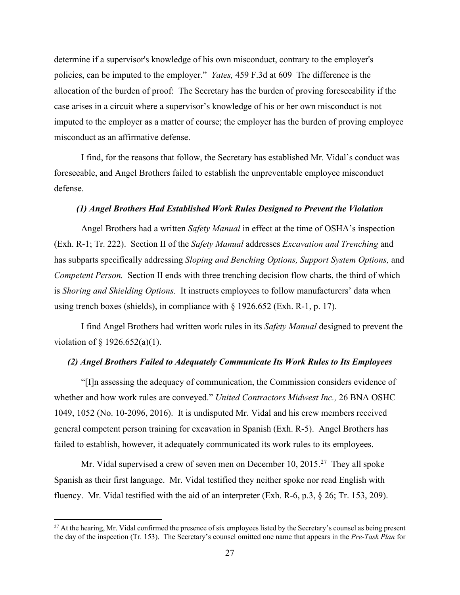determine if a supervisor's knowledge of his own misconduct, contrary to the employer's policies, can be imputed to the employer." *Yates,* 459 F.3d at 609 The difference is the allocation of the burden of proof: The Secretary has the burden of proving foreseeability if the case arises in a circuit where a supervisor's knowledge of his or her own misconduct is not imputed to the employer as a matter of course; the employer has the burden of proving employee misconduct as an affirmative defense.

I find, for the reasons that follow, the Secretary has established Mr. Vidal's conduct was foreseeable, and Angel Brothers failed to establish the unpreventable employee misconduct defense.

### *(1) Angel Brothers Had Established Work Rules Designed to Prevent the Violation*

 Angel Brothers had a written *Safety Manual* in effect at the time of OSHA's inspection (Exh. R-1; Tr. 222). Section II of the *Safety Manual* addresses *Excavation and Trenching* and has subparts specifically addressing *Sloping and Benching Options, Support System Options,* and *Competent Person.* Section II ends with three trenching decision flow charts, the third of which is *Shoring and Shielding Options.* It instructs employees to follow manufacturers' data when using trench boxes (shields), in compliance with § 1926.652 (Exh. R-1, p. 17).

I find Angel Brothers had written work rules in its *Safety Manual* designed to prevent the violation of § 1926.652(a)(1).

### *(2) Angel Brothers Failed to Adequately Communicate Its Work Rules to Its Employees*

 "[I]n assessing the adequacy of communication, the Commission considers evidence of whether and how work rules are conveyed." *United Contractors Midwest Inc.,* 26 BNA OSHC 1049, 1052 (No. 10-2096, 2016). It is undisputed Mr. Vidal and his crew members received general competent person training for excavation in Spanish (Exh. R-5). Angel Brothers has failed to establish, however, it adequately communicated its work rules to its employees.

Mr. Vidal supervised a crew of seven men on December 10,  $2015<sup>27</sup>$  $2015<sup>27</sup>$  $2015<sup>27</sup>$  They all spoke Spanish as their first language. Mr. Vidal testified they neither spoke nor read English with fluency. Mr. Vidal testified with the aid of an interpreter (Exh. R-6, p.3, § 26; Tr. 153, 209).

<span id="page-26-0"></span> $27$  At the hearing, Mr. Vidal confirmed the presence of six employees listed by the Secretary's counsel as being present the day of the inspection (Tr. 153). The Secretary's counsel omitted one name that appears in the *Pre-Task Plan* for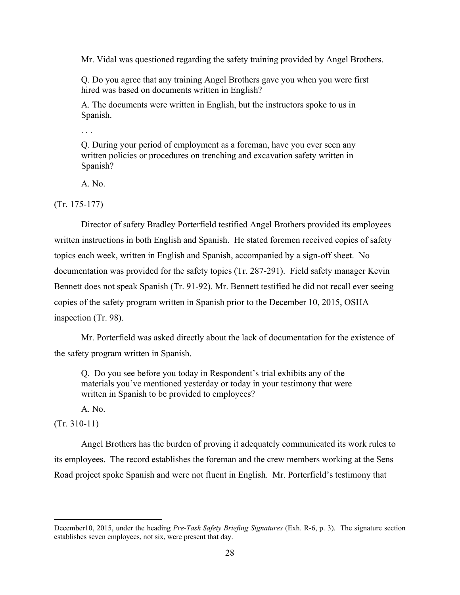Mr. Vidal was questioned regarding the safety training provided by Angel Brothers.

Q. Do you agree that any training Angel Brothers gave you when you were first hired was based on documents written in English?

A. The documents were written in English, but the instructors spoke to us in Spanish.

. . .

Q. During your period of employment as a foreman, have you ever seen any written policies or procedures on trenching and excavation safety written in Spanish?

A. No.

(Tr. 175-177)

Director of safety Bradley Porterfield testified Angel Brothers provided its employees written instructions in both English and Spanish. He stated foremen received copies of safety topics each week, written in English and Spanish, accompanied by a sign-off sheet. No documentation was provided for the safety topics (Tr. 287-291). Field safety manager Kevin Bennett does not speak Spanish (Tr. 91-92). Mr. Bennett testified he did not recall ever seeing copies of the safety program written in Spanish prior to the December 10, 2015, OSHA inspection (Tr. 98).

 Mr. Porterfield was asked directly about the lack of documentation for the existence of the safety program written in Spanish.

Q. Do you see before you today in Respondent's trial exhibits any of the materials you've mentioned yesterday or today in your testimony that were written in Spanish to be provided to employees?

A. No.

(Tr. 310-11)

Angel Brothers has the burden of proving it adequately communicated its work rules to its employees. The record establishes the foreman and the crew members working at the Sens Road project spoke Spanish and were not fluent in English. Mr. Porterfield's testimony that

December10, 2015, under the heading *Pre-Task Safety Briefing Signatures* (Exh. R-6, p. 3). The signature section establishes seven employees, not six, were present that day.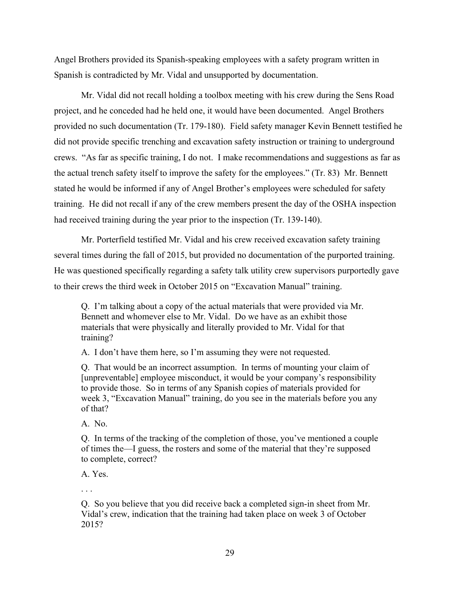Angel Brothers provided its Spanish-speaking employees with a safety program written in Spanish is contradicted by Mr. Vidal and unsupported by documentation.

Mr. Vidal did not recall holding a toolbox meeting with his crew during the Sens Road project, and he conceded had he held one, it would have been documented. Angel Brothers provided no such documentation (Tr. 179-180). Field safety manager Kevin Bennett testified he did not provide specific trenching and excavation safety instruction or training to underground crews. "As far as specific training, I do not. I make recommendations and suggestions as far as the actual trench safety itself to improve the safety for the employees." (Tr. 83) Mr. Bennett stated he would be informed if any of Angel Brother's employees were scheduled for safety training. He did not recall if any of the crew members present the day of the OSHA inspection had received training during the year prior to the inspection (Tr. 139-140).

Mr. Porterfield testified Mr. Vidal and his crew received excavation safety training several times during the fall of 2015, but provided no documentation of the purported training. He was questioned specifically regarding a safety talk utility crew supervisors purportedly gave to their crews the third week in October 2015 on "Excavation Manual" training.

Q. I'm talking about a copy of the actual materials that were provided via Mr. Bennett and whomever else to Mr. Vidal. Do we have as an exhibit those materials that were physically and literally provided to Mr. Vidal for that training?

A. I don't have them here, so I'm assuming they were not requested.

Q. That would be an incorrect assumption. In terms of mounting your claim of [unpreventable] employee misconduct, it would be your company's responsibility to provide those. So in terms of any Spanish copies of materials provided for week 3, "Excavation Manual" training, do you see in the materials before you any of that?

A. No.

Q. In terms of the tracking of the completion of those, you've mentioned a couple of times the—I guess, the rosters and some of the material that they're supposed to complete, correct?

A. Yes.

. . .

Q. So you believe that you did receive back a completed sign-in sheet from Mr. Vidal's crew, indication that the training had taken place on week 3 of October 2015?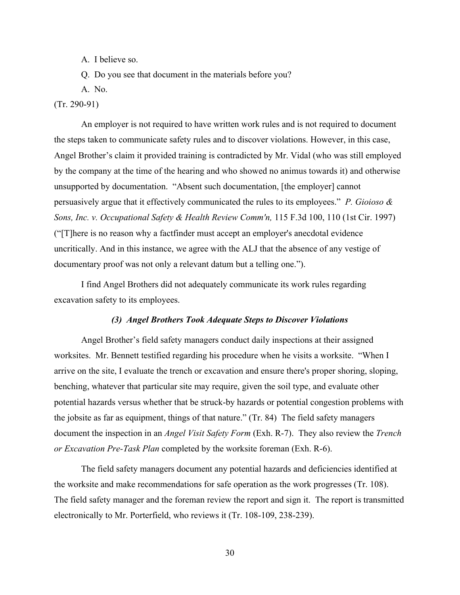A. I believe so.

Q. Do you see that document in the materials before you?

A. No.

(Tr. 290-91)

An employer is not required to have written work rules and is not required to document the steps taken to communicate safety rules and to discover violations. However, in this case, Angel Brother's claim it provided training is contradicted by Mr. Vidal (who was still employed by the company at the time of the hearing and who showed no animus towards it) and otherwise unsupported by documentation. "Absent such documentation, [the employer] cannot persuasively argue that it effectively communicated the rules to its employees." *P. Gioioso & Sons, Inc. v. Occupational Safety & Health Review Comm'n,* 115 F.3d 100, 110 (1st Cir. 1997) ("[T]here is no reason why a factfinder must accept an employer's anecdotal evidence uncritically. And in this instance, we agree with the ALJ that the absence of any vestige of documentary proof was not only a relevant datum but a telling one.").

I find Angel Brothers did not adequately communicate its work rules regarding excavation safety to its employees.

### *(3) Angel Brothers Took Adequate Steps to Discover Violations*

 Angel Brother's field safety managers conduct daily inspections at their assigned worksites. Mr. Bennett testified regarding his procedure when he visits a worksite. "When I arrive on the site, I evaluate the trench or excavation and ensure there's proper shoring, sloping, benching, whatever that particular site may require, given the soil type, and evaluate other potential hazards versus whether that be struck-by hazards or potential congestion problems with the jobsite as far as equipment, things of that nature." (Tr. 84) The field safety managers document the inspection in an *Angel Visit Safety Form* (Exh. R-7). They also review the *Trench or Excavation Pre-Task Plan* completed by the worksite foreman (Exh. R-6).

The field safety managers document any potential hazards and deficiencies identified at the worksite and make recommendations for safe operation as the work progresses (Tr. 108). The field safety manager and the foreman review the report and sign it. The report is transmitted electronically to Mr. Porterfield, who reviews it (Tr. 108-109, 238-239).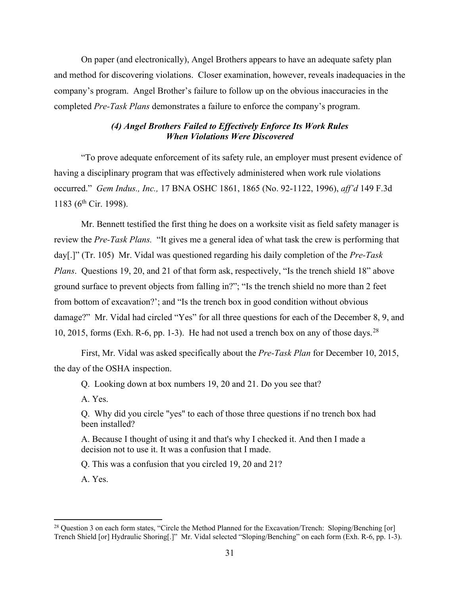On paper (and electronically), Angel Brothers appears to have an adequate safety plan and method for discovering violations. Closer examination, however, reveals inadequacies in the company's program. Angel Brother's failure to follow up on the obvious inaccuracies in the completed *Pre-Task Plans* demonstrates a failure to enforce the company's program.

# *(4) Angel Brothers Failed to Effectively Enforce Its Work Rules When Violations Were Discovered*

 "To prove adequate enforcement of its safety rule, an employer must present evidence of having a disciplinary program that was effectively administered when work rule violations occurred." *Gem Indus., Inc.,* 17 BNA OSHC 1861, 1865 (No. 92-1122, 1996), *aff'd* 149 F.3d 1183 (6<sup>th</sup> Cir. 1998).

Mr. Bennett testified the first thing he does on a worksite visit as field safety manager is review the *Pre-Task Plans.* "It gives me a general idea of what task the crew is performing that day[.]" (Tr. 105) Mr. Vidal was questioned regarding his daily completion of the *Pre-Task Plans*. Questions 19, 20, and 21 of that form ask, respectively, "Is the trench shield 18" above ground surface to prevent objects from falling in?"; "Is the trench shield no more than 2 feet from bottom of excavation?'; and "Is the trench box in good condition without obvious damage?" Mr. Vidal had circled "Yes" for all three questions for each of the December 8, 9, and 10, 2015, forms (Exh. R-6, pp. 1-3). He had not used a trench box on any of those days.<sup>[28](#page-30-0)</sup>

First, Mr. Vidal was asked specifically about the *Pre-Task Plan* for December 10, 2015, the day of the OSHA inspection.

Q. Looking down at box numbers 19, 20 and 21. Do you see that?

A. Yes.

Q. Why did you circle "yes" to each of those three questions if no trench box had been installed?

A. Because I thought of using it and that's why I checked it. And then I made a decision not to use it. It was a confusion that I made.

Q. This was a confusion that you circled 19, 20 and 21?

A. Yes.

<span id="page-30-0"></span><sup>&</sup>lt;sup>28</sup> Question 3 on each form states, "Circle the Method Planned for the Excavation/Trench: Sloping/Benching [or] Trench Shield [or] Hydraulic Shoring[.]" Mr. Vidal selected "Sloping/Benching" on each form (Exh. R-6, pp. 1-3).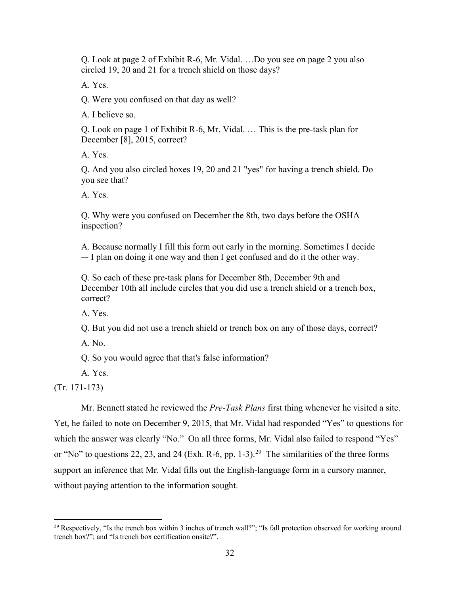Q. Look at page 2 of Exhibit R-6, Mr. Vidal. …Do you see on page 2 you also circled 19, 20 and 21 for a trench shield on those days?

A. Yes.

Q. Were you confused on that day as well?

A. I believe so.

Q. Look on page 1 of Exhibit R-6, Mr. Vidal. … This is the pre-task plan for December [8], 2015, correct?

A. Yes.

Q. And you also circled boxes 19, 20 and 21 "yes" for having a trench shield. Do you see that?

A. Yes.

Q. Why were you confused on December the 8th, two days before the OSHA inspection?

A. Because normally I fill this form out early in the morning. Sometimes I decide –- I plan on doing it one way and then I get confused and do it the other way.

Q. So each of these pre-task plans for December 8th, December 9th and December 10th all include circles that you did use a trench shield or a trench box, correct?

A. Yes.

Q. But you did not use a trench shield or trench box on any of those days, correct?

A. No.

Q. So you would agree that that's false information?

A. Yes.

(Tr. 171-173)

Mr. Bennett stated he reviewed the *Pre-Task Plans* first thing whenever he visited a site. Yet, he failed to note on December 9, 2015, that Mr. Vidal had responded "Yes" to questions for which the answer was clearly "No." On all three forms, Mr. Vidal also failed to respond "Yes" or "No" to questions 22, 23, and 24 (Exh. R-6, pp. 1-3).<sup>[29](#page-31-0)</sup> The similarities of the three forms support an inference that Mr. Vidal fills out the English-language form in a cursory manner, without paying attention to the information sought.

<span id="page-31-0"></span><sup>&</sup>lt;sup>29</sup> Respectively, "Is the trench box within 3 inches of trench wall?"; "Is fall protection observed for working around trench box?"; and "Is trench box certification onsite?".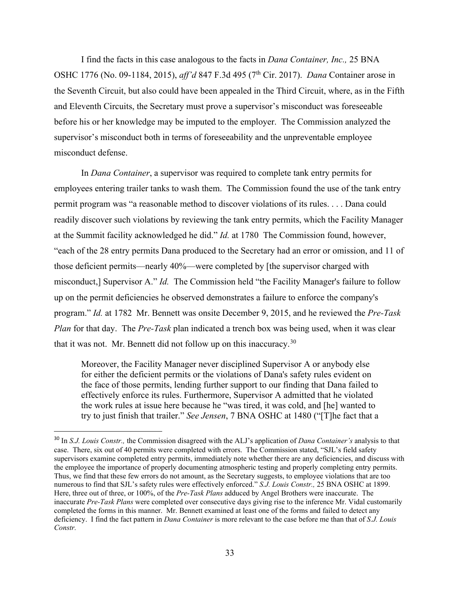I find the facts in this case analogous to the facts in *Dana Container, Inc.,* 25 BNA OSHC 1776 (No. 09-1184, 2015), *aff'd* 847 F.3d 495 (7th Cir. 2017). *Dana* Container arose in the Seventh Circuit, but also could have been appealed in the Third Circuit, where, as in the Fifth and Eleventh Circuits, the Secretary must prove a supervisor's misconduct was foreseeable before his or her knowledge may be imputed to the employer. The Commission analyzed the supervisor's misconduct both in terms of foreseeability and the unpreventable employee misconduct defense.

In *Dana Container*, a supervisor was required to complete tank entry permits for employees entering trailer tanks to wash them. The Commission found the use of the tank entry permit program was "a reasonable method to discover violations of its rules. . . . Dana could readily discover such violations by reviewing the tank entry permits, which the Facility Manager at the Summit facility acknowledged he did." *Id.* at 1780 The Commission found, however, "each of the 28 entry permits Dana produced to the Secretary had an error or omission, and 11 of those deficient permits—nearly 40%—were completed by [the supervisor charged with misconduct,] Supervisor A." *Id.* The Commission held "the Facility Manager's failure to follow up on the permit deficiencies he observed demonstrates a failure to enforce the company's program." *Id.* at 1782 Mr. Bennett was onsite December 9, 2015, and he reviewed the *Pre-Task Plan* for that day. The *Pre-Task* plan indicated a trench box was being used, when it was clear that it was not. Mr. Bennett did not follow up on this inaccuracy.<sup>[30](#page-32-0)</sup>

Moreover, the Facility Manager never disciplined Supervisor A or anybody else for either the deficient permits or the violations of Dana's safety rules evident on the face of those permits, lending further support to our finding that Dana failed to effectively enforce its rules. Furthermore, Supervisor A admitted that he violated the work rules at issue here because he "was tired, it was cold, and [he] wanted to try to just finish that trailer." *See Jensen*, 7 BNA OSHC at 1480 ("[T]he fact that a

<span id="page-32-0"></span><sup>30</sup> In *S.J. Louis Constr.,* the Commission disagreed with the ALJ's application of *Dana Container's* analysis to that case. There, six out of 40 permits were completed with errors. The Commission stated, "SJL's field safety supervisors examine completed entry permits, immediately note whether there are any deficiencies, and discuss with the employee the importance of properly documenting atmospheric testing and properly completing entry permits. Thus, we find that these few errors do not amount, as the Secretary suggests, to employee violations that are too numerous to find that SJL's safety rules were effectively enforced." *S.J. Louis Constr.,* 25 BNA OSHC at 1899. Here, three out of three, or 100%, of the *Pre-Task Plans* adduced by Angel Brothers were inaccurate. The inaccurate *Pre-Task Plans* were completed over consecutive days giving rise to the inference Mr. Vidal customarily completed the forms in this manner. Mr. Bennett examined at least one of the forms and failed to detect any deficiency. I find the fact pattern in *Dana Container* is more relevant to the case before me than that of *S.J. Louis Constr.*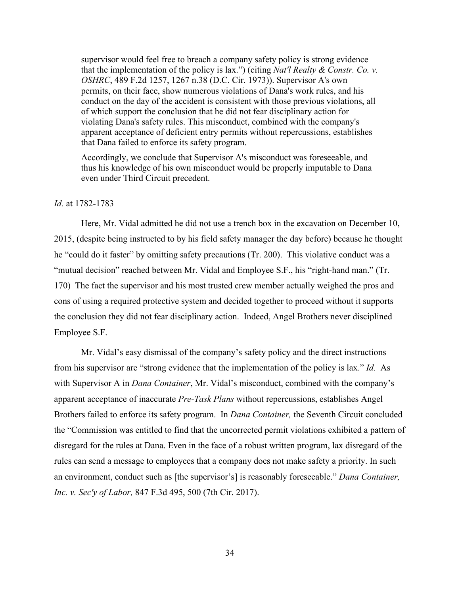supervisor would feel free to breach a company safety policy is strong evidence that the implementation of the policy is lax.") (citing *Nat'l Realty & Constr. Co. v. OSHRC*, 489 F.2d 1257, 1267 n.38 (D.C. Cir. 1973)). Supervisor A's own permits, on their face, show numerous violations of Dana's work rules, and his conduct on the day of the accident is consistent with those previous violations, all of which support the conclusion that he did not fear disciplinary action for violating Dana's safety rules. This misconduct, combined with the company's apparent acceptance of deficient entry permits without repercussions, establishes that Dana failed to enforce its safety program.

Accordingly, we conclude that Supervisor A's misconduct was foreseeable, and thus his knowledge of his own misconduct would be properly imputable to Dana even under Third Circuit precedent.

### *Id.* at 1782-1783

 Here, Mr. Vidal admitted he did not use a trench box in the excavation on December 10, 2015, (despite being instructed to by his field safety manager the day before) because he thought he "could do it faster" by omitting safety precautions (Tr. 200). This violative conduct was a "mutual decision" reached between Mr. Vidal and Employee S.F., his "right-hand man." (Tr. 170) The fact the supervisor and his most trusted crew member actually weighed the pros and cons of using a required protective system and decided together to proceed without it supports the conclusion they did not fear disciplinary action. Indeed, Angel Brothers never disciplined Employee S.F.

Mr. Vidal's easy dismissal of the company's safety policy and the direct instructions from his supervisor are "strong evidence that the implementation of the policy is lax." *Id.* As with Supervisor A in *Dana Container*, Mr. Vidal's misconduct, combined with the company's apparent acceptance of inaccurate *Pre-Task Plans* without repercussions, establishes Angel Brothers failed to enforce its safety program. In *Dana Container,* the Seventh Circuit concluded the "Commission was entitled to find that the uncorrected permit violations exhibited a pattern of disregard for the rules at Dana. Even in the face of a robust written program, lax disregard of the rules can send a message to employees that a company does not make safety a priority. In such an environment, conduct such as [the supervisor's] is reasonably foreseeable." *Dana Container, Inc. v. Sec'y of Labor,* 847 F.3d 495, 500 (7th Cir. 2017).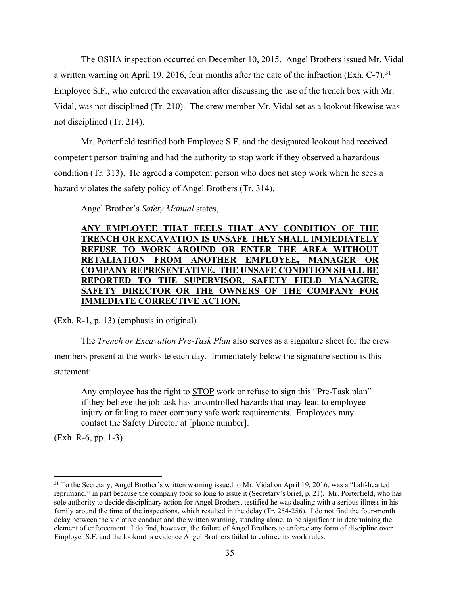The OSHA inspection occurred on December 10, 2015. Angel Brothers issued Mr. Vidal a written warning on April 19, 2016, four months after the date of the infraction (Exh. C-7).<sup>[31](#page-34-0)</sup> Employee S.F., who entered the excavation after discussing the use of the trench box with Mr. Vidal, was not disciplined (Tr. 210). The crew member Mr. Vidal set as a lookout likewise was not disciplined (Tr. 214).

Mr. Porterfield testified both Employee S.F. and the designated lookout had received competent person training and had the authority to stop work if they observed a hazardous condition (Tr. 313). He agreed a competent person who does not stop work when he sees a hazard violates the safety policy of Angel Brothers (Tr. 314).

Angel Brother's *Safety Manual* states,

# **ANY EMPLOYEE THAT FEELS THAT ANY CONDITION OF THE TRENCH OR EXCAVATION IS UNSAFE THEY SHALL IMMEDIATELY REFUSE TO WORK AROUND OR ENTER THE AREA WITHOUT RETALIATION FROM ANOTHER EMPLOYEE, MANAGER OR COMPANY REPRESENTATIVE. THE UNSAFE CONDITION SHALL BE REPORTED TO THE SUPERVISOR, SAFETY FIELD MANAGER, SAFETY DIRECTOR OR THE OWNERS OF THE COMPANY FOR IMMEDIATE CORRECTIVE ACTION.**

(Exh. R-1, p. 13) (emphasis in original)

The *Trench or Excavation Pre-Task Plan* also serves as a signature sheet for the crew members present at the worksite each day. Immediately below the signature section is this statement:

Any employee has the right to STOP work or refuse to sign this "Pre-Task plan" if they believe the job task has uncontrolled hazards that may lead to employee injury or failing to meet company safe work requirements. Employees may contact the Safety Director at [phone number].

(Exh. R-6, pp. 1-3)

<span id="page-34-0"></span><sup>&</sup>lt;sup>31</sup> To the Secretary, Angel Brother's written warning issued to Mr. Vidal on April 19, 2016, was a "half-hearted" reprimand," in part because the company took so long to issue it (Secretary's brief, p. 21). Mr. Porterfield, who has sole authority to decide disciplinary action for Angel Brothers, testified he was dealing with a serious illness in his family around the time of the inspections, which resulted in the delay (Tr. 254-256). I do not find the four-month delay between the violative conduct and the written warning, standing alone, to be significant in determining the element of enforcement. I do find, however, the failure of Angel Brothers to enforce any form of discipline over Employer S.F. and the lookout is evidence Angel Brothers failed to enforce its work rules.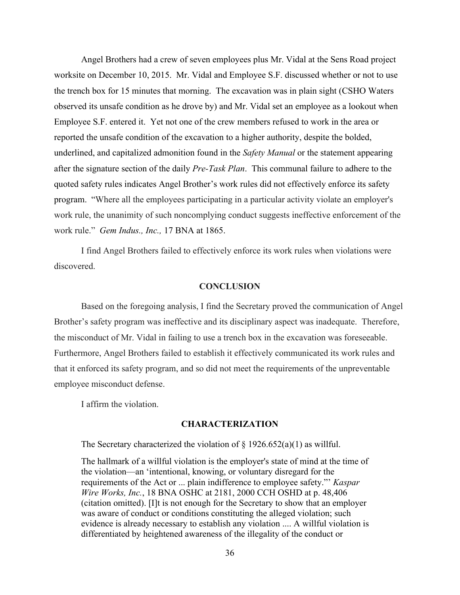Angel Brothers had a crew of seven employees plus Mr. Vidal at the Sens Road project worksite on December 10, 2015. Mr. Vidal and Employee S.F. discussed whether or not to use the trench box for 15 minutes that morning. The excavation was in plain sight (CSHO Waters observed its unsafe condition as he drove by) and Mr. Vidal set an employee as a lookout when Employee S.F. entered it. Yet not one of the crew members refused to work in the area or reported the unsafe condition of the excavation to a higher authority, despite the bolded, underlined, and capitalized admonition found in the *Safety Manual* or the statement appearing after the signature section of the daily *Pre-Task Plan*. This communal failure to adhere to the quoted safety rules indicates Angel Brother's work rules did not effectively enforce its safety program. "Where all the employees participating in a particular activity violate an employer's work rule, the unanimity of such noncomplying conduct suggests ineffective enforcement of the work rule." *Gem Indus., Inc.,* 17 BNA at 1865.

I find Angel Brothers failed to effectively enforce its work rules when violations were discovered.

### **CONCLUSION**

 Based on the foregoing analysis, I find the Secretary proved the communication of Angel Brother's safety program was ineffective and its disciplinary aspect was inadequate. Therefore, the misconduct of Mr. Vidal in failing to use a trench box in the excavation was foreseeable. Furthermore, Angel Brothers failed to establish it effectively communicated its work rules and that it enforced its safety program, and so did not meet the requirements of the unpreventable employee misconduct defense.

I affirm the violation.

#### **CHARACTERIZATION**

The Secretary characterized the violation of  $\S 1926.652(a)(1)$  as willful.

The hallmark of a willful violation is the employer's state of mind at the time of the violation—an 'intentional, knowing, or voluntary disregard for the requirements of the Act or ... plain indifference to employee safety."' *Kaspar Wire Works, Inc.*, 18 BNA OSHC at 2181, 2000 CCH OSHD at p. 48,406 (citation omitted). [I]t is not enough for the Secretary to show that an employer was aware of conduct or conditions constituting the alleged violation; such evidence is already necessary to establish any violation .... A willful violation is differentiated by heightened awareness of the illegality of the conduct or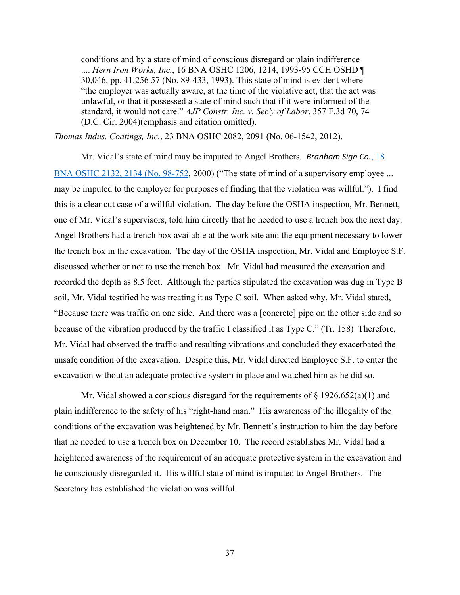conditions and by a state of mind of conscious disregard or plain indifference .... *Hern Iron Works, Inc.*[, 16 BNA OSHC 1206, 1214, 1993-95 CCH OSHD ¶](https://1.next.westlaw.com/Link/Document/FullText?findType=Y&serNum=1993474442&pubNum=0003227&originatingDoc=I516ba57787d911e5a807ad48145ed9f1&refType=CA&fi=co_pp_sp_3227_1214&originationContext=document&transitionType=DocumentItem&contextData=(sc.Search)#co_pp_sp_3227_1214)  [30,046, pp. 41,256 57 \(No. 89-433,](https://1.next.westlaw.com/Link/Document/FullText?findType=Y&serNum=1993474442&pubNum=0003227&originatingDoc=I516ba57787d911e5a807ad48145ed9f1&refType=CA&fi=co_pp_sp_3227_1214&originationContext=document&transitionType=DocumentItem&contextData=(sc.Search)#co_pp_sp_3227_1214) 1993). This state of mind is evident where "the employer was actually aware, at the time of the violative act, that the act was unlawful, or that it possessed a state of mind such that if it were informed of the standard, it would not care." *[AJP Constr. Inc. v. Sec'y of Labor](https://1.next.westlaw.com/Link/Document/FullText?findType=Y&serNum=2004098508&pubNum=0000506&originatingDoc=I516ba57787d911e5a807ad48145ed9f1&refType=RP&fi=co_pp_sp_506_74&originationContext=document&transitionType=DocumentItem&contextData=(sc.Search)#co_pp_sp_506_74)*, 357 F.3d 70, 74 [\(D.C. Cir. 2004\)\(](https://1.next.westlaw.com/Link/Document/FullText?findType=Y&serNum=2004098508&pubNum=0000506&originatingDoc=I516ba57787d911e5a807ad48145ed9f1&refType=RP&fi=co_pp_sp_506_74&originationContext=document&transitionType=DocumentItem&contextData=(sc.Search)#co_pp_sp_506_74)emphasis and citation omitted).

*Thomas Indus. Coatings, Inc.*[, 23 BNA OSHC 2082, 2091 \(No. 06-1542,](https://1.next.westlaw.com/Link/Document/FullText?findType=Y&serNum=2027725441&pubNum=0003227&originatingDoc=I516ba57787d911e5a807ad48145ed9f1&refType=CA&fi=co_pp_sp_3227_2091&originationContext=document&transitionType=DocumentItem&contextData=(sc.Search)#co_pp_sp_3227_2091) 2012).

Mr. Vidal's state of mind may be imputed to Angel Brothers. *[Branham Sign Co.](https://1.next.westlaw.com/Link/Document/FullText?findType=Y&serNum=1999699832&pubNum=0003227&originatingDoc=I516ba57787d911e5a807ad48145ed9f1&refType=CA&fi=co_pp_sp_3227_2134&originationContext=document&transitionType=DocumentItem&contextData=(sc.Search)#co_pp_sp_3227_2134)*, 18 [BNA OSHC 2132, 2134 \(No. 98-752,](https://1.next.westlaw.com/Link/Document/FullText?findType=Y&serNum=1999699832&pubNum=0003227&originatingDoc=I516ba57787d911e5a807ad48145ed9f1&refType=CA&fi=co_pp_sp_3227_2134&originationContext=document&transitionType=DocumentItem&contextData=(sc.Search)#co_pp_sp_3227_2134) 2000) ("The state of mind of a supervisory employee ... may be imputed to the employer for purposes of finding that the violation was willful."). I find this is a clear cut case of a willful violation. The day before the OSHA inspection, Mr. Bennett, one of Mr. Vidal's supervisors, told him directly that he needed to use a trench box the next day. Angel Brothers had a trench box available at the work site and the equipment necessary to lower the trench box in the excavation. The day of the OSHA inspection, Mr. Vidal and Employee S.F. discussed whether or not to use the trench box. Mr. Vidal had measured the excavation and recorded the depth as 8.5 feet. Although the parties stipulated the excavation was dug in Type B soil, Mr. Vidal testified he was treating it as Type C soil. When asked why, Mr. Vidal stated, "Because there was traffic on one side. And there was a [concrete] pipe on the other side and so because of the vibration produced by the traffic I classified it as Type C." (Tr. 158) Therefore, Mr. Vidal had observed the traffic and resulting vibrations and concluded they exacerbated the unsafe condition of the excavation. Despite this, Mr. Vidal directed Employee S.F. to enter the excavation without an adequate protective system in place and watched him as he did so.

Mr. Vidal showed a conscious disregard for the requirements of  $\S 1926.652(a)(1)$  and plain indifference to the safety of his "right-hand man." His awareness of the illegality of the conditions of the excavation was heightened by Mr. Bennett's instruction to him the day before that he needed to use a trench box on December 10. The record establishes Mr. Vidal had a heightened awareness of the requirement of an adequate protective system in the excavation and he consciously disregarded it. His willful state of mind is imputed to Angel Brothers. The Secretary has established the violation was willful.

37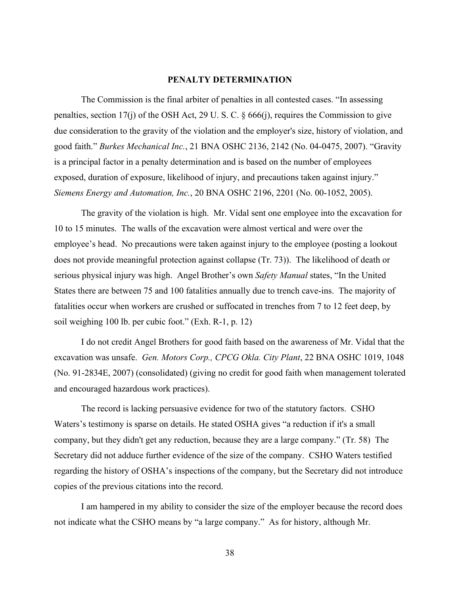### **PENALTY DETERMINATION**

The Commission is the final arbiter of penalties in all contested cases. "In assessing penalties, section 17(j) of the OSH Act, 29 U. S. C. § 666(j), requires the Commission to give due consideration to the gravity of the violation and the employer's size, history of violation, and good faith." *Burkes Mechanical Inc.*, 21 BNA OSHC 2136, 2142 (No. 04-0475, 2007). "Gravity is a principal factor in a penalty determination and is based on the number of employees exposed, duration of exposure, likelihood of injury, and precautions taken against injury." *Siemens Energy and Automation, Inc.*, 20 BNA OSHC 2196, 2201 (No. 00-1052, 2005).

The gravity of the violation is high. Mr. Vidal sent one employee into the excavation for 10 to 15 minutes. The walls of the excavation were almost vertical and were over the employee's head. No precautions were taken against injury to the employee (posting a lookout does not provide meaningful protection against collapse (Tr. 73)). The likelihood of death or serious physical injury was high. Angel Brother's own *Safety Manual* states, "In the United States there are between 75 and 100 fatalities annually due to trench cave-ins. The majority of fatalities occur when workers are crushed or suffocated in trenches from 7 to 12 feet deep, by soil weighing 100 lb. per cubic foot." (Exh. R-1, p. 12)

I do not credit Angel Brothers for good faith based on the awareness of Mr. Vidal that the excavation was unsafe. *Gen. Motors Corp., CPCG Okla. City Plant*, 22 BNA OSHC 1019, 1048 (No. 91-2834E, 2007) (consolidated) (giving no credit for good faith when management tolerated and encouraged hazardous work practices).

The record is lacking persuasive evidence for two of the statutory factors. CSHO Waters's testimony is sparse on details. He stated OSHA gives "a reduction if it's a small company, but they didn't get any reduction, because they are a large company." (Tr. 58) The Secretary did not adduce further evidence of the size of the company. CSHO Waters testified regarding the history of OSHA's inspections of the company, but the Secretary did not introduce copies of the previous citations into the record.

I am hampered in my ability to consider the size of the employer because the record does not indicate what the CSHO means by "a large company." As for history, although Mr.

38